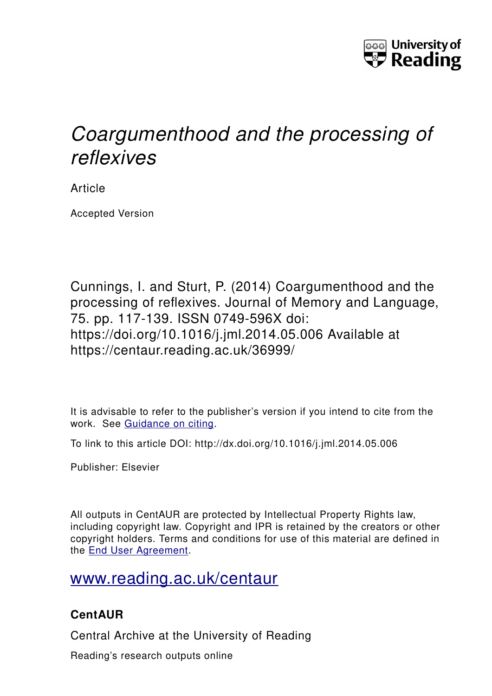

# *Coargumenthood and the processing of reflexives*

Article

Accepted Version

Cunnings, I. and Sturt, P. (2014) Coargumenthood and the processing of reflexives. Journal of Memory and Language, 75. pp. 117-139. ISSN 0749-596X doi: https://doi.org/10.1016/j.jml.2014.05.006 Available at https://centaur.reading.ac.uk/36999/

It is advisable to refer to the publisher's version if you intend to cite from the work. See [Guidance on citing.](http://centaur.reading.ac.uk/71187/10/CentAUR%20citing%20guide.pdf)

To link to this article DOI: http://dx.doi.org/10.1016/j.jml.2014.05.006

Publisher: Elsevier

All outputs in CentAUR are protected by Intellectual Property Rights law, including copyright law. Copyright and IPR is retained by the creators or other copyright holders. Terms and conditions for use of this material are defined in the [End User Agreement.](http://centaur.reading.ac.uk/licence)

## [www.reading.ac.uk/centaur](http://www.reading.ac.uk/centaur)

### **CentAUR**

Central Archive at the University of Reading

Reading's research outputs online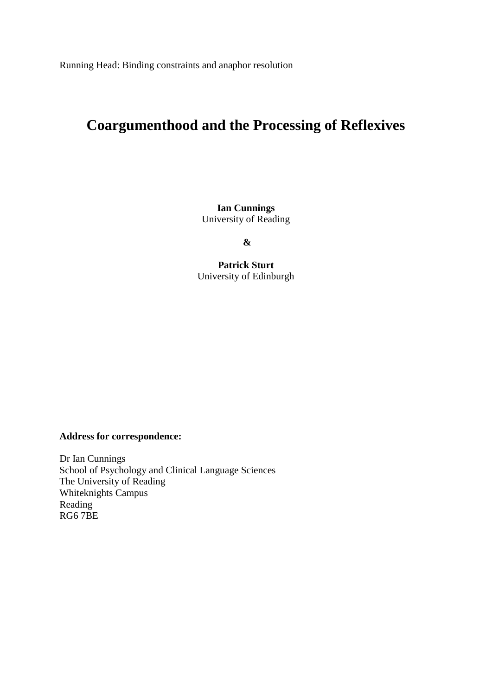Running Head: Binding constraints and anaphor resolution

### **Coargumenthood and the Processing of Reflexives**

**Ian Cunnings** University of Reading

**&**

**Patrick Sturt** University of Edinburgh

**Address for correspondence:**

Dr Ian Cunnings School of Psychology and Clinical Language Sciences The University of Reading Whiteknights Campus Reading RG6 7BE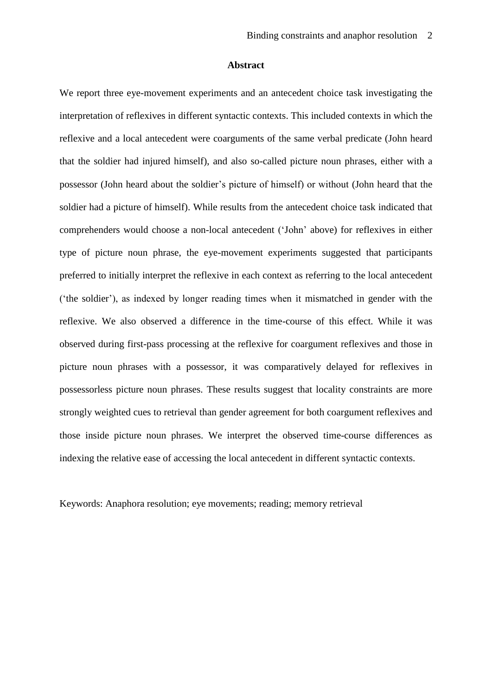#### **Abstract**

We report three eye-movement experiments and an antecedent choice task investigating the interpretation of reflexives in different syntactic contexts. This included contexts in which the reflexive and a local antecedent were coarguments of the same verbal predicate (John heard that the soldier had injured himself), and also so-called picture noun phrases, either with a possessor (John heard about the soldier's picture of himself) or without (John heard that the soldier had a picture of himself). While results from the antecedent choice task indicated that comprehenders would choose a non-local antecedent ('John' above) for reflexives in either type of picture noun phrase, the eye-movement experiments suggested that participants preferred to initially interpret the reflexive in each context as referring to the local antecedent ('the soldier'), as indexed by longer reading times when it mismatched in gender with the reflexive. We also observed a difference in the time-course of this effect. While it was observed during first-pass processing at the reflexive for coargument reflexives and those in picture noun phrases with a possessor, it was comparatively delayed for reflexives in possessorless picture noun phrases. These results suggest that locality constraints are more strongly weighted cues to retrieval than gender agreement for both coargument reflexives and those inside picture noun phrases. We interpret the observed time-course differences as indexing the relative ease of accessing the local antecedent in different syntactic contexts.

Keywords: Anaphora resolution; eye movements; reading; memory retrieval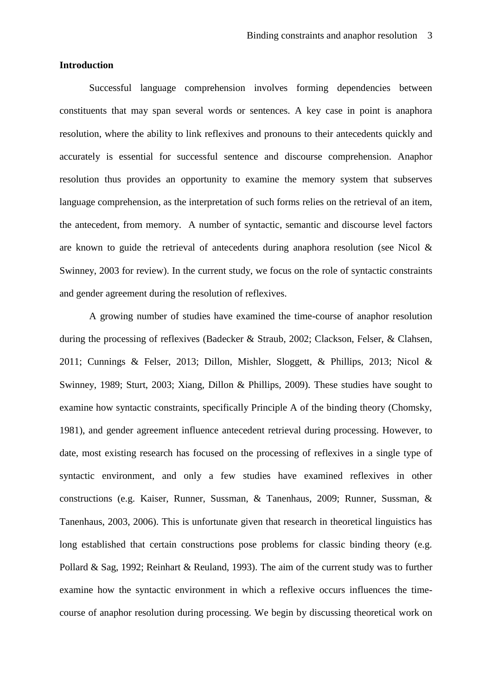#### **Introduction**

Successful language comprehension involves forming dependencies between constituents that may span several words or sentences. A key case in point is anaphora resolution, where the ability to link reflexives and pronouns to their antecedents quickly and accurately is essential for successful sentence and discourse comprehension. Anaphor resolution thus provides an opportunity to examine the memory system that subserves language comprehension, as the interpretation of such forms relies on the retrieval of an item, the antecedent, from memory. A number of syntactic, semantic and discourse level factors are known to guide the retrieval of antecedents during anaphora resolution (see Nicol & Swinney, 2003 for review). In the current study, we focus on the role of syntactic constraints and gender agreement during the resolution of reflexives.

A growing number of studies have examined the time-course of anaphor resolution during the processing of reflexives (Badecker & Straub, 2002; Clackson, Felser, & Clahsen, 2011; Cunnings & Felser, 2013; Dillon, Mishler, Sloggett, & Phillips, 2013; Nicol & Swinney, 1989; Sturt, 2003; Xiang, Dillon & Phillips, 2009). These studies have sought to examine how syntactic constraints, specifically Principle A of the binding theory (Chomsky, 1981), and gender agreement influence antecedent retrieval during processing. However, to date, most existing research has focused on the processing of reflexives in a single type of syntactic environment, and only a few studies have examined reflexives in other constructions (e.g. Kaiser, Runner, Sussman, & Tanenhaus, 2009; Runner, Sussman, & Tanenhaus, 2003, 2006). This is unfortunate given that research in theoretical linguistics has long established that certain constructions pose problems for classic binding theory (e.g. Pollard & Sag, 1992; Reinhart & Reuland, 1993). The aim of the current study was to further examine how the syntactic environment in which a reflexive occurs influences the timecourse of anaphor resolution during processing. We begin by discussing theoretical work on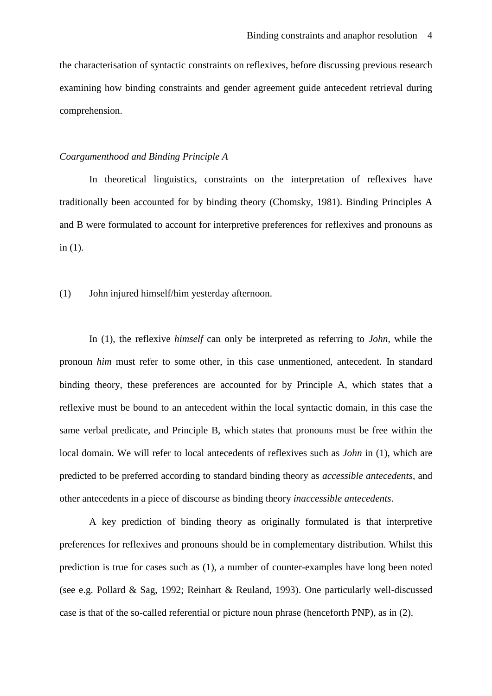the characterisation of syntactic constraints on reflexives, before discussing previous research examining how binding constraints and gender agreement guide antecedent retrieval during comprehension.

#### *Coargumenthood and Binding Principle A*

In theoretical linguistics, constraints on the interpretation of reflexives have traditionally been accounted for by binding theory (Chomsky, 1981). Binding Principles A and B were formulated to account for interpretive preferences for reflexives and pronouns as in (1).

(1) John injured himself/him yesterday afternoon.

In (1), the reflexive *himself* can only be interpreted as referring to *John*, while the pronoun *him* must refer to some other, in this case unmentioned, antecedent. In standard binding theory, these preferences are accounted for by Principle A, which states that a reflexive must be bound to an antecedent within the local syntactic domain, in this case the same verbal predicate, and Principle B, which states that pronouns must be free within the local domain. We will refer to local antecedents of reflexives such as *John* in (1), which are predicted to be preferred according to standard binding theory as *accessible antecedents*, and other antecedents in a piece of discourse as binding theory *inaccessible antecedents*.

A key prediction of binding theory as originally formulated is that interpretive preferences for reflexives and pronouns should be in complementary distribution. Whilst this prediction is true for cases such as (1), a number of counter-examples have long been noted (see e.g. Pollard & Sag, 1992; Reinhart & Reuland, 1993). One particularly well-discussed case is that of the so-called referential or picture noun phrase (henceforth PNP), as in (2).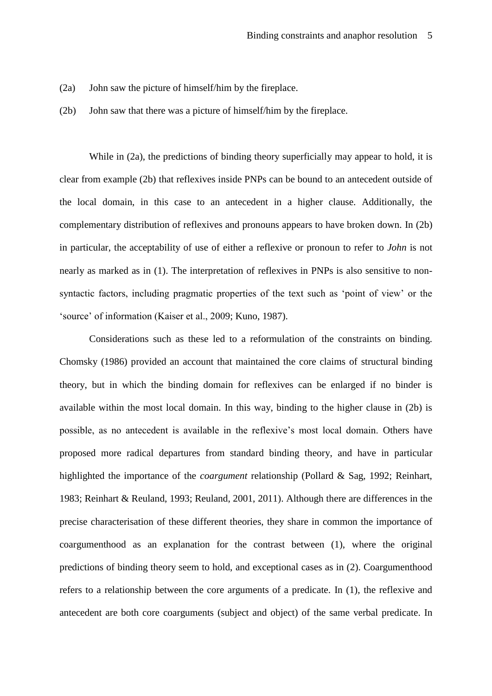- (2a) John saw the picture of himself/him by the fireplace.
- (2b) John saw that there was a picture of himself/him by the fireplace.

While in (2a), the predictions of binding theory superficially may appear to hold, it is clear from example (2b) that reflexives inside PNPs can be bound to an antecedent outside of the local domain, in this case to an antecedent in a higher clause. Additionally, the complementary distribution of reflexives and pronouns appears to have broken down. In (2b) in particular, the acceptability of use of either a reflexive or pronoun to refer to *John* is not nearly as marked as in (1). The interpretation of reflexives in PNPs is also sensitive to nonsyntactic factors, including pragmatic properties of the text such as 'point of view' or the 'source' of information (Kaiser et al., 2009; Kuno, 1987).

Considerations such as these led to a reformulation of the constraints on binding. Chomsky (1986) provided an account that maintained the core claims of structural binding theory, but in which the binding domain for reflexives can be enlarged if no binder is available within the most local domain. In this way, binding to the higher clause in (2b) is possible, as no antecedent is available in the reflexive's most local domain. Others have proposed more radical departures from standard binding theory, and have in particular highlighted the importance of the *coargument* relationship (Pollard & Sag, 1992; Reinhart, 1983; Reinhart & Reuland, 1993; Reuland, 2001, 2011). Although there are differences in the precise characterisation of these different theories, they share in common the importance of coargumenthood as an explanation for the contrast between (1), where the original predictions of binding theory seem to hold, and exceptional cases as in (2). Coargumenthood refers to a relationship between the core arguments of a predicate. In (1), the reflexive and antecedent are both core coarguments (subject and object) of the same verbal predicate. In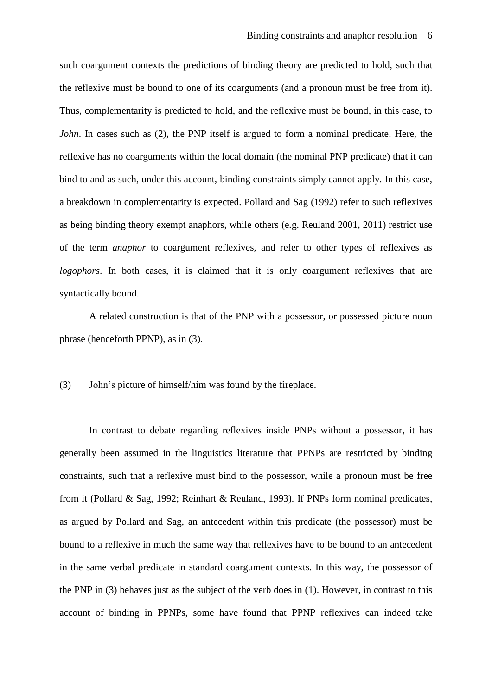such coargument contexts the predictions of binding theory are predicted to hold, such that the reflexive must be bound to one of its coarguments (and a pronoun must be free from it). Thus, complementarity is predicted to hold, and the reflexive must be bound, in this case, to *John*. In cases such as (2), the PNP itself is argued to form a nominal predicate. Here, the reflexive has no coarguments within the local domain (the nominal PNP predicate) that it can bind to and as such, under this account, binding constraints simply cannot apply. In this case, a breakdown in complementarity is expected. Pollard and Sag (1992) refer to such reflexives as being binding theory exempt anaphors, while others (e.g. Reuland 2001, 2011) restrict use of the term *anaphor* to coargument reflexives, and refer to other types of reflexives as *logophors*. In both cases, it is claimed that it is only coargument reflexives that are syntactically bound.

A related construction is that of the PNP with a possessor, or possessed picture noun phrase (henceforth PPNP), as in (3).

(3) John's picture of himself/him was found by the fireplace.

In contrast to debate regarding reflexives inside PNPs without a possessor, it has generally been assumed in the linguistics literature that PPNPs are restricted by binding constraints, such that a reflexive must bind to the possessor, while a pronoun must be free from it (Pollard & Sag, 1992; Reinhart & Reuland, 1993). If PNPs form nominal predicates, as argued by Pollard and Sag, an antecedent within this predicate (the possessor) must be bound to a reflexive in much the same way that reflexives have to be bound to an antecedent in the same verbal predicate in standard coargument contexts. In this way, the possessor of the PNP in (3) behaves just as the subject of the verb does in (1). However, in contrast to this account of binding in PPNPs, some have found that PPNP reflexives can indeed take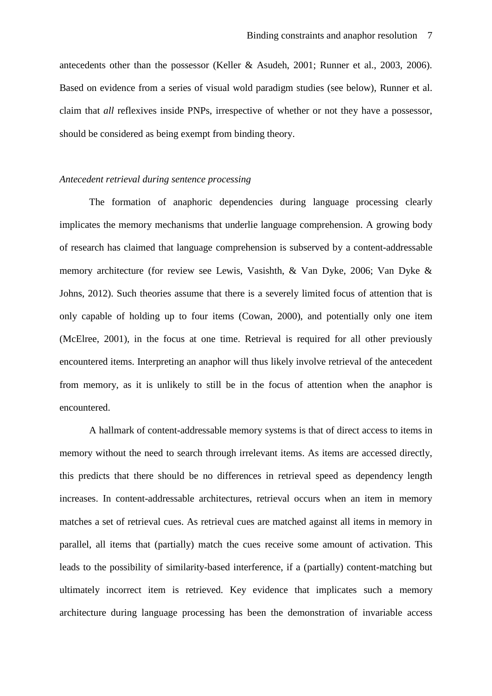antecedents other than the possessor (Keller & Asudeh, 2001; Runner et al., 2003, 2006). Based on evidence from a series of visual wold paradigm studies (see below), Runner et al. claim that *all* reflexives inside PNPs, irrespective of whether or not they have a possessor, should be considered as being exempt from binding theory.

#### *Antecedent retrieval during sentence processing*

The formation of anaphoric dependencies during language processing clearly implicates the memory mechanisms that underlie language comprehension. A growing body of research has claimed that language comprehension is subserved by a content-addressable memory architecture (for review see Lewis, Vasishth, & Van Dyke, 2006; Van Dyke & Johns, 2012). Such theories assume that there is a severely limited focus of attention that is only capable of holding up to four items (Cowan, 2000), and potentially only one item (McElree, 2001), in the focus at one time. Retrieval is required for all other previously encountered items. Interpreting an anaphor will thus likely involve retrieval of the antecedent from memory, as it is unlikely to still be in the focus of attention when the anaphor is encountered.

A hallmark of content-addressable memory systems is that of direct access to items in memory without the need to search through irrelevant items. As items are accessed directly, this predicts that there should be no differences in retrieval speed as dependency length increases. In content-addressable architectures, retrieval occurs when an item in memory matches a set of retrieval cues. As retrieval cues are matched against all items in memory in parallel, all items that (partially) match the cues receive some amount of activation. This leads to the possibility of similarity-based interference, if a (partially) content-matching but ultimately incorrect item is retrieved. Key evidence that implicates such a memory architecture during language processing has been the demonstration of invariable access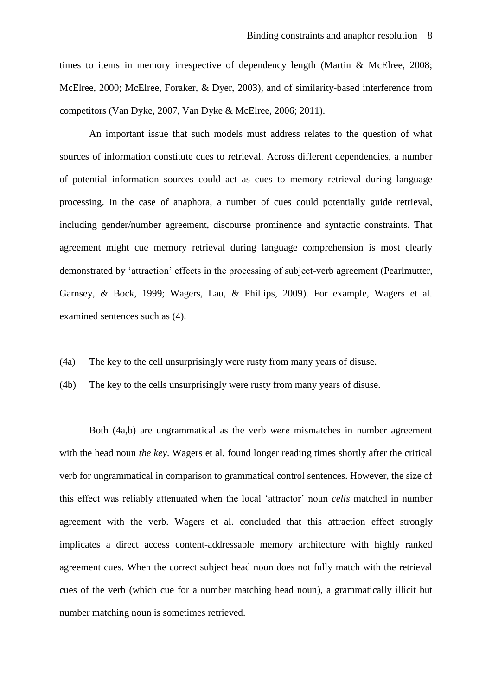times to items in memory irrespective of dependency length (Martin & McElree, 2008; McElree, 2000; McElree, Foraker, & Dyer, 2003), and of similarity-based interference from competitors (Van Dyke, 2007, Van Dyke & McElree, 2006; 2011).

An important issue that such models must address relates to the question of what sources of information constitute cues to retrieval. Across different dependencies, a number of potential information sources could act as cues to memory retrieval during language processing. In the case of anaphora, a number of cues could potentially guide retrieval, including gender/number agreement, discourse prominence and syntactic constraints. That agreement might cue memory retrieval during language comprehension is most clearly demonstrated by 'attraction' effects in the processing of subject-verb agreement (Pearlmutter, Garnsey, & Bock, 1999; Wagers, Lau, & Phillips, 2009). For example, Wagers et al. examined sentences such as (4).

(4a) The key to the cell unsurprisingly were rusty from many years of disuse.

(4b) The key to the cells unsurprisingly were rusty from many years of disuse.

Both (4a,b) are ungrammatical as the verb *were* mismatches in number agreement with the head noun *the key*. Wagers et al. found longer reading times shortly after the critical verb for ungrammatical in comparison to grammatical control sentences. However, the size of this effect was reliably attenuated when the local 'attractor' noun *cells* matched in number agreement with the verb. Wagers et al. concluded that this attraction effect strongly implicates a direct access content-addressable memory architecture with highly ranked agreement cues. When the correct subject head noun does not fully match with the retrieval cues of the verb (which cue for a number matching head noun), a grammatically illicit but number matching noun is sometimes retrieved.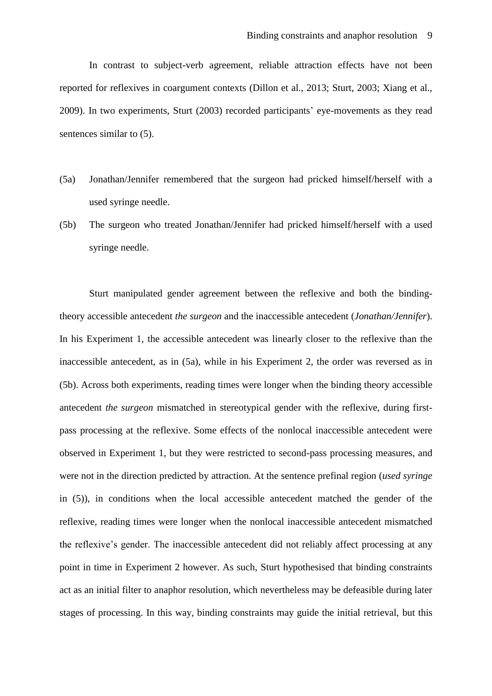In contrast to subject-verb agreement, reliable attraction effects have not been reported for reflexives in coargument contexts (Dillon et al., 2013; Sturt, 2003; Xiang et al., 2009). In two experiments, Sturt (2003) recorded participants' eye-movements as they read sentences similar to (5).

- (5a) Jonathan/Jennifer remembered that the surgeon had pricked himself/herself with a used syringe needle.
- (5b) The surgeon who treated Jonathan/Jennifer had pricked himself/herself with a used syringe needle.

Sturt manipulated gender agreement between the reflexive and both the bindingtheory accessible antecedent *the surgeon* and the inaccessible antecedent (*Jonathan/Jennifer*). In his Experiment 1, the accessible antecedent was linearly closer to the reflexive than the inaccessible antecedent, as in (5a), while in his Experiment 2, the order was reversed as in (5b). Across both experiments, reading times were longer when the binding theory accessible antecedent *the surgeon* mismatched in stereotypical gender with the reflexive, during firstpass processing at the reflexive. Some effects of the nonlocal inaccessible antecedent were observed in Experiment 1, but they were restricted to second-pass processing measures, and were not in the direction predicted by attraction. At the sentence prefinal region (*used syringe*  in (5)), in conditions when the local accessible antecedent matched the gender of the reflexive, reading times were longer when the nonlocal inaccessible antecedent mismatched the reflexive's gender. The inaccessible antecedent did not reliably affect processing at any point in time in Experiment 2 however. As such, Sturt hypothesised that binding constraints act as an initial filter to anaphor resolution, which nevertheless may be defeasible during later stages of processing. In this way, binding constraints may guide the initial retrieval, but this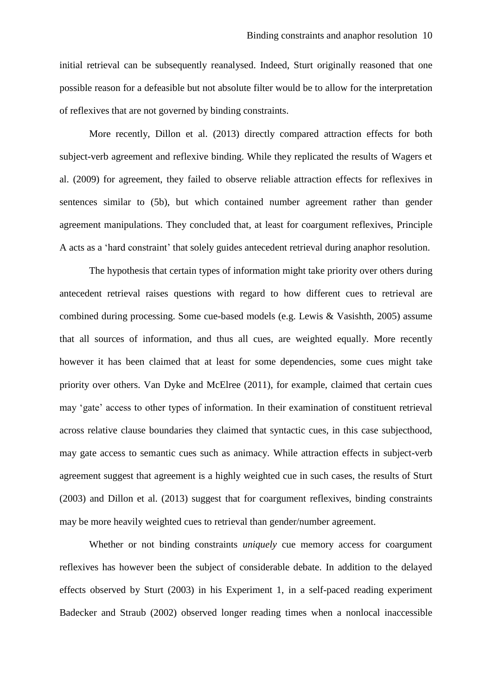initial retrieval can be subsequently reanalysed. Indeed, Sturt originally reasoned that one possible reason for a defeasible but not absolute filter would be to allow for the interpretation of reflexives that are not governed by binding constraints.

More recently, Dillon et al. (2013) directly compared attraction effects for both subject-verb agreement and reflexive binding. While they replicated the results of Wagers et al. (2009) for agreement, they failed to observe reliable attraction effects for reflexives in sentences similar to (5b), but which contained number agreement rather than gender agreement manipulations. They concluded that, at least for coargument reflexives, Principle A acts as a 'hard constraint' that solely guides antecedent retrieval during anaphor resolution.

The hypothesis that certain types of information might take priority over others during antecedent retrieval raises questions with regard to how different cues to retrieval are combined during processing. Some cue-based models (e.g. Lewis & Vasishth, 2005) assume that all sources of information, and thus all cues, are weighted equally. More recently however it has been claimed that at least for some dependencies, some cues might take priority over others. Van Dyke and McElree (2011), for example, claimed that certain cues may 'gate' access to other types of information. In their examination of constituent retrieval across relative clause boundaries they claimed that syntactic cues, in this case subjecthood, may gate access to semantic cues such as animacy. While attraction effects in subject-verb agreement suggest that agreement is a highly weighted cue in such cases, the results of Sturt (2003) and Dillon et al. (2013) suggest that for coargument reflexives, binding constraints may be more heavily weighted cues to retrieval than gender/number agreement.

Whether or not binding constraints *uniquely* cue memory access for coargument reflexives has however been the subject of considerable debate. In addition to the delayed effects observed by Sturt (2003) in his Experiment 1, in a self-paced reading experiment Badecker and Straub (2002) observed longer reading times when a nonlocal inaccessible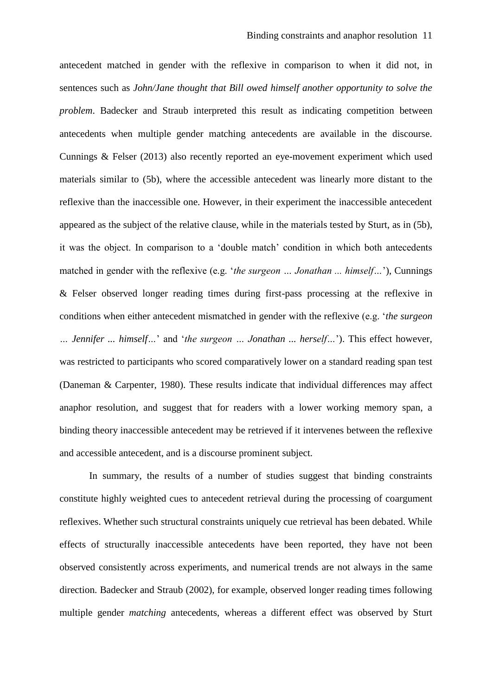antecedent matched in gender with the reflexive in comparison to when it did not, in sentences such as *John/Jane thought that Bill owed himself another opportunity to solve the problem*. Badecker and Straub interpreted this result as indicating competition between antecedents when multiple gender matching antecedents are available in the discourse. Cunnings & Felser (2013) also recently reported an eye-movement experiment which used materials similar to (5b), where the accessible antecedent was linearly more distant to the reflexive than the inaccessible one. However, in their experiment the inaccessible antecedent appeared as the subject of the relative clause, while in the materials tested by Sturt, as in (5b), it was the object. In comparison to a 'double match' condition in which both antecedents matched in gender with the reflexive (e.g. '*the surgeon … Jonathan ... himself…*'), Cunnings & Felser observed longer reading times during first-pass processing at the reflexive in conditions when either antecedent mismatched in gender with the reflexive (e.g. '*the surgeon … Jennifer ... himself…*' and '*the surgeon … Jonathan ... herself…*'). This effect however, was restricted to participants who scored comparatively lower on a standard reading span test (Daneman & Carpenter, 1980). These results indicate that individual differences may affect anaphor resolution, and suggest that for readers with a lower working memory span, a binding theory inaccessible antecedent may be retrieved if it intervenes between the reflexive and accessible antecedent, and is a discourse prominent subject.

In summary, the results of a number of studies suggest that binding constraints constitute highly weighted cues to antecedent retrieval during the processing of coargument reflexives. Whether such structural constraints uniquely cue retrieval has been debated. While effects of structurally inaccessible antecedents have been reported, they have not been observed consistently across experiments, and numerical trends are not always in the same direction. Badecker and Straub (2002), for example, observed longer reading times following multiple gender *matching* antecedents, whereas a different effect was observed by Sturt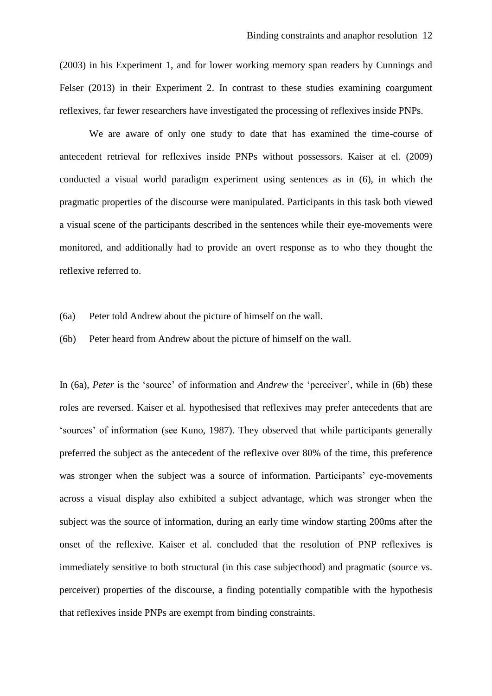(2003) in his Experiment 1, and for lower working memory span readers by Cunnings and Felser (2013) in their Experiment 2. In contrast to these studies examining coargument reflexives, far fewer researchers have investigated the processing of reflexives inside PNPs.

We are aware of only one study to date that has examined the time-course of antecedent retrieval for reflexives inside PNPs without possessors. Kaiser at el. (2009) conducted a visual world paradigm experiment using sentences as in (6), in which the pragmatic properties of the discourse were manipulated. Participants in this task both viewed a visual scene of the participants described in the sentences while their eye-movements were monitored, and additionally had to provide an overt response as to who they thought the reflexive referred to.

(6a) Peter told Andrew about the picture of himself on the wall.

(6b) Peter heard from Andrew about the picture of himself on the wall.

In (6a), *Peter* is the 'source' of information and *Andrew* the 'perceiver', while in (6b) these roles are reversed. Kaiser et al. hypothesised that reflexives may prefer antecedents that are 'sources' of information (see Kuno, 1987). They observed that while participants generally preferred the subject as the antecedent of the reflexive over 80% of the time, this preference was stronger when the subject was a source of information. Participants' eye-movements across a visual display also exhibited a subject advantage, which was stronger when the subject was the source of information, during an early time window starting 200ms after the onset of the reflexive. Kaiser et al. concluded that the resolution of PNP reflexives is immediately sensitive to both structural (in this case subjecthood) and pragmatic (source vs. perceiver) properties of the discourse, a finding potentially compatible with the hypothesis that reflexives inside PNPs are exempt from binding constraints.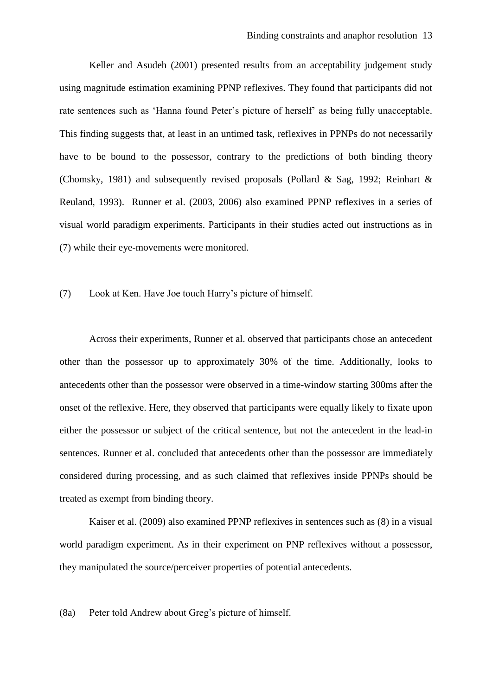Keller and Asudeh (2001) presented results from an acceptability judgement study using magnitude estimation examining PPNP reflexives. They found that participants did not rate sentences such as 'Hanna found Peter's picture of herself' as being fully unacceptable. This finding suggests that, at least in an untimed task, reflexives in PPNPs do not necessarily have to be bound to the possessor, contrary to the predictions of both binding theory (Chomsky, 1981) and subsequently revised proposals (Pollard & Sag, 1992; Reinhart & Reuland, 1993). Runner et al. (2003, 2006) also examined PPNP reflexives in a series of visual world paradigm experiments. Participants in their studies acted out instructions as in (7) while their eye-movements were monitored.

#### (7) Look at Ken. Have Joe touch Harry's picture of himself.

Across their experiments, Runner et al. observed that participants chose an antecedent other than the possessor up to approximately 30% of the time. Additionally, looks to antecedents other than the possessor were observed in a time-window starting 300ms after the onset of the reflexive. Here, they observed that participants were equally likely to fixate upon either the possessor or subject of the critical sentence, but not the antecedent in the lead-in sentences. Runner et al. concluded that antecedents other than the possessor are immediately considered during processing, and as such claimed that reflexives inside PPNPs should be treated as exempt from binding theory.

Kaiser et al. (2009) also examined PPNP reflexives in sentences such as (8) in a visual world paradigm experiment. As in their experiment on PNP reflexives without a possessor, they manipulated the source/perceiver properties of potential antecedents.

(8a) Peter told Andrew about Greg's picture of himself.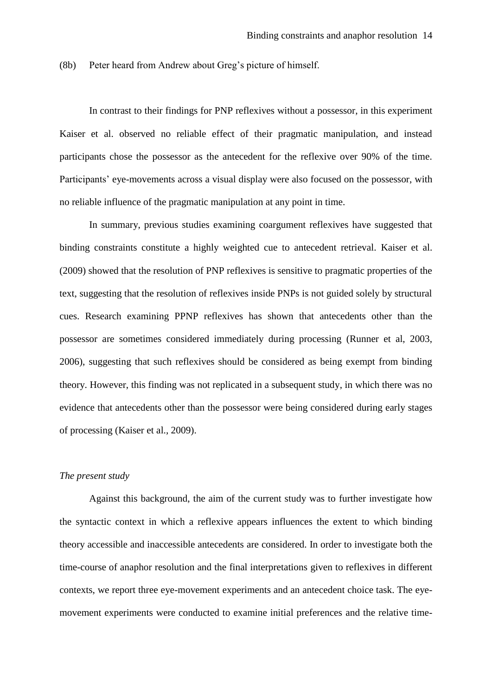(8b) Peter heard from Andrew about Greg's picture of himself.

In contrast to their findings for PNP reflexives without a possessor, in this experiment Kaiser et al. observed no reliable effect of their pragmatic manipulation, and instead participants chose the possessor as the antecedent for the reflexive over 90% of the time. Participants' eye-movements across a visual display were also focused on the possessor, with no reliable influence of the pragmatic manipulation at any point in time.

In summary, previous studies examining coargument reflexives have suggested that binding constraints constitute a highly weighted cue to antecedent retrieval. Kaiser et al. (2009) showed that the resolution of PNP reflexives is sensitive to pragmatic properties of the text, suggesting that the resolution of reflexives inside PNPs is not guided solely by structural cues. Research examining PPNP reflexives has shown that antecedents other than the possessor are sometimes considered immediately during processing (Runner et al, 2003, 2006), suggesting that such reflexives should be considered as being exempt from binding theory. However, this finding was not replicated in a subsequent study, in which there was no evidence that antecedents other than the possessor were being considered during early stages of processing (Kaiser et al., 2009).

#### *The present study*

Against this background, the aim of the current study was to further investigate how the syntactic context in which a reflexive appears influences the extent to which binding theory accessible and inaccessible antecedents are considered. In order to investigate both the time-course of anaphor resolution and the final interpretations given to reflexives in different contexts, we report three eye-movement experiments and an antecedent choice task. The eyemovement experiments were conducted to examine initial preferences and the relative time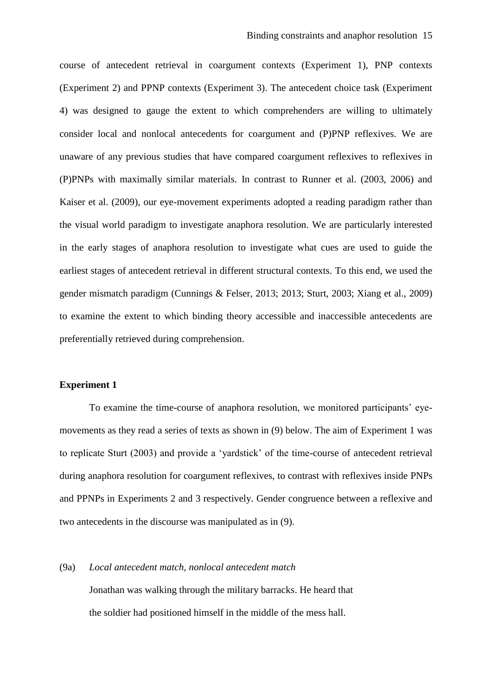course of antecedent retrieval in coargument contexts (Experiment 1), PNP contexts (Experiment 2) and PPNP contexts (Experiment 3). The antecedent choice task (Experiment 4) was designed to gauge the extent to which comprehenders are willing to ultimately consider local and nonlocal antecedents for coargument and (P)PNP reflexives. We are unaware of any previous studies that have compared coargument reflexives to reflexives in (P)PNPs with maximally similar materials. In contrast to Runner et al. (2003, 2006) and Kaiser et al. (2009), our eye-movement experiments adopted a reading paradigm rather than the visual world paradigm to investigate anaphora resolution. We are particularly interested in the early stages of anaphora resolution to investigate what cues are used to guide the earliest stages of antecedent retrieval in different structural contexts. To this end, we used the gender mismatch paradigm (Cunnings & Felser, 2013; 2013; Sturt, 2003; Xiang et al., 2009) to examine the extent to which binding theory accessible and inaccessible antecedents are preferentially retrieved during comprehension.

#### **Experiment 1**

To examine the time-course of anaphora resolution, we monitored participants' eyemovements as they read a series of texts as shown in (9) below. The aim of Experiment 1 was to replicate Sturt (2003) and provide a 'yardstick' of the time-course of antecedent retrieval during anaphora resolution for coargument reflexives, to contrast with reflexives inside PNPs and PPNPs in Experiments 2 and 3 respectively. Gender congruence between a reflexive and two antecedents in the discourse was manipulated as in (9).

(9a) *Local antecedent match, nonlocal antecedent match* Jonathan was walking through the military barracks. He heard that the soldier had positioned himself in the middle of the mess hall.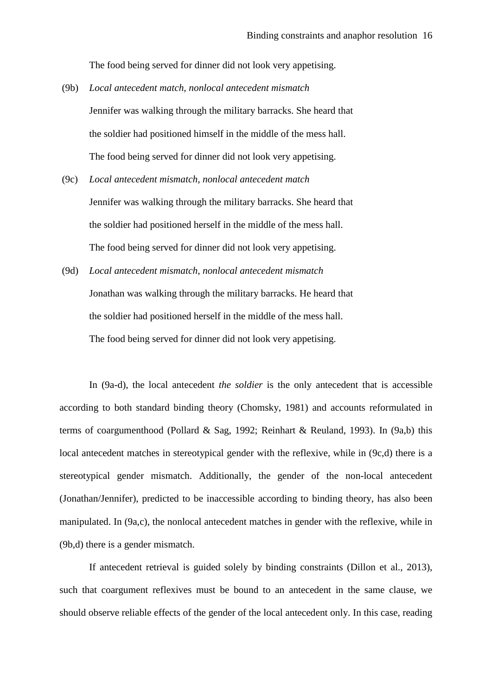The food being served for dinner did not look very appetising.

- (9b) *Local antecedent match, nonlocal antecedent mismatch* Jennifer was walking through the military barracks. She heard that the soldier had positioned himself in the middle of the mess hall. The food being served for dinner did not look very appetising.
- (9c) *Local antecedent mismatch, nonlocal antecedent match* Jennifer was walking through the military barracks. She heard that the soldier had positioned herself in the middle of the mess hall. The food being served for dinner did not look very appetising.
- (9d) *Local antecedent mismatch, nonlocal antecedent mismatch* Jonathan was walking through the military barracks. He heard that the soldier had positioned herself in the middle of the mess hall. The food being served for dinner did not look very appetising.

In (9a-d), the local antecedent *the soldier* is the only antecedent that is accessible according to both standard binding theory (Chomsky, 1981) and accounts reformulated in terms of coargumenthood (Pollard & Sag, 1992; Reinhart & Reuland, 1993). In (9a,b) this local antecedent matches in stereotypical gender with the reflexive, while in (9c,d) there is a stereotypical gender mismatch. Additionally, the gender of the non-local antecedent (Jonathan/Jennifer), predicted to be inaccessible according to binding theory, has also been manipulated. In (9a,c), the nonlocal antecedent matches in gender with the reflexive, while in (9b,d) there is a gender mismatch.

If antecedent retrieval is guided solely by binding constraints (Dillon et al., 2013), such that coargument reflexives must be bound to an antecedent in the same clause, we should observe reliable effects of the gender of the local antecedent only. In this case, reading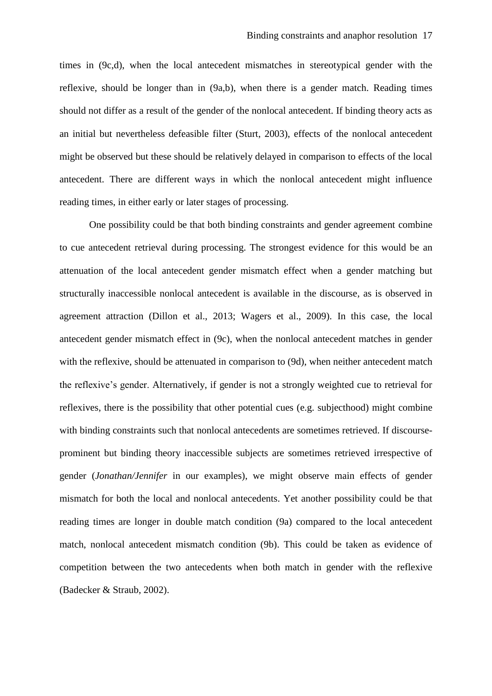times in (9c,d), when the local antecedent mismatches in stereotypical gender with the reflexive, should be longer than in (9a,b), when there is a gender match. Reading times should not differ as a result of the gender of the nonlocal antecedent. If binding theory acts as an initial but nevertheless defeasible filter (Sturt, 2003), effects of the nonlocal antecedent might be observed but these should be relatively delayed in comparison to effects of the local antecedent. There are different ways in which the nonlocal antecedent might influence reading times, in either early or later stages of processing.

One possibility could be that both binding constraints and gender agreement combine to cue antecedent retrieval during processing. The strongest evidence for this would be an attenuation of the local antecedent gender mismatch effect when a gender matching but structurally inaccessible nonlocal antecedent is available in the discourse, as is observed in agreement attraction (Dillon et al., 2013; Wagers et al., 2009). In this case, the local antecedent gender mismatch effect in (9c), when the nonlocal antecedent matches in gender with the reflexive, should be attenuated in comparison to  $(9d)$ , when neither antecedent match the reflexive's gender. Alternatively, if gender is not a strongly weighted cue to retrieval for reflexives, there is the possibility that other potential cues (e.g. subjecthood) might combine with binding constraints such that nonlocal antecedents are sometimes retrieved. If discourseprominent but binding theory inaccessible subjects are sometimes retrieved irrespective of gender (*Jonathan/Jennifer* in our examples), we might observe main effects of gender mismatch for both the local and nonlocal antecedents. Yet another possibility could be that reading times are longer in double match condition (9a) compared to the local antecedent match, nonlocal antecedent mismatch condition (9b). This could be taken as evidence of competition between the two antecedents when both match in gender with the reflexive (Badecker & Straub, 2002).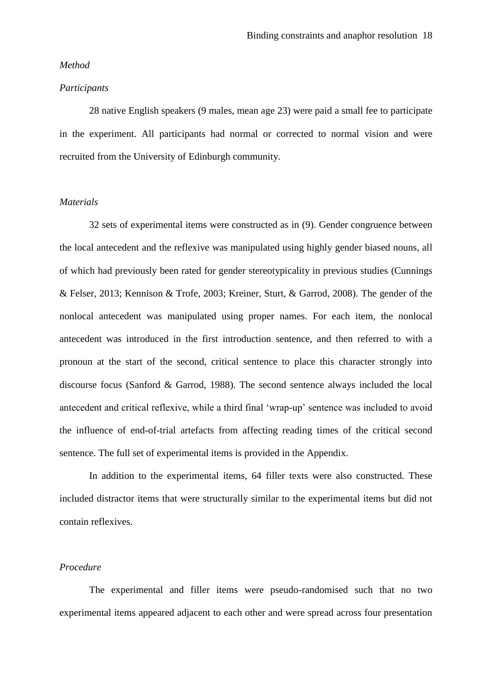#### *Method*

#### *Participants*

28 native English speakers (9 males, mean age 23) were paid a small fee to participate in the experiment. All participants had normal or corrected to normal vision and were recruited from the University of Edinburgh community.

#### *Materials*

32 sets of experimental items were constructed as in (9). Gender congruence between the local antecedent and the reflexive was manipulated using highly gender biased nouns, all of which had previously been rated for gender stereotypicality in previous studies (Cunnings & Felser, 2013; Kennison & Trofe, 2003; Kreiner, Sturt, & Garrod, 2008). The gender of the nonlocal antecedent was manipulated using proper names. For each item, the nonlocal antecedent was introduced in the first introduction sentence, and then referred to with a pronoun at the start of the second, critical sentence to place this character strongly into discourse focus (Sanford & Garrod, 1988). The second sentence always included the local antecedent and critical reflexive, while a third final 'wrap-up' sentence was included to avoid the influence of end-of-trial artefacts from affecting reading times of the critical second sentence. The full set of experimental items is provided in the Appendix.

In addition to the experimental items, 64 filler texts were also constructed. These included distractor items that were structurally similar to the experimental items but did not contain reflexives.

#### *Procedure*

The experimental and filler items were pseudo-randomised such that no two experimental items appeared adjacent to each other and were spread across four presentation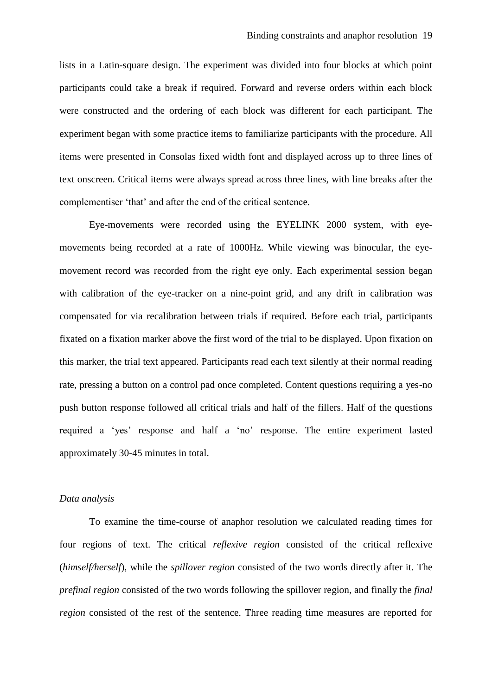lists in a Latin-square design. The experiment was divided into four blocks at which point participants could take a break if required. Forward and reverse orders within each block were constructed and the ordering of each block was different for each participant. The experiment began with some practice items to familiarize participants with the procedure. All items were presented in Consolas fixed width font and displayed across up to three lines of text onscreen. Critical items were always spread across three lines, with line breaks after the complementiser 'that' and after the end of the critical sentence.

Eye-movements were recorded using the EYELINK 2000 system, with eyemovements being recorded at a rate of 1000Hz. While viewing was binocular, the eyemovement record was recorded from the right eye only. Each experimental session began with calibration of the eye-tracker on a nine-point grid, and any drift in calibration was compensated for via recalibration between trials if required. Before each trial, participants fixated on a fixation marker above the first word of the trial to be displayed. Upon fixation on this marker, the trial text appeared. Participants read each text silently at their normal reading rate, pressing a button on a control pad once completed. Content questions requiring a yes-no push button response followed all critical trials and half of the fillers. Half of the questions required a 'yes' response and half a 'no' response. The entire experiment lasted approximately 30-45 minutes in total.

#### *Data analysis*

To examine the time-course of anaphor resolution we calculated reading times for four regions of text. The critical *reflexive region* consisted of the critical reflexive (*himself/herself*), while the *spillover region* consisted of the two words directly after it. The *prefinal region* consisted of the two words following the spillover region, and finally the *final region* consisted of the rest of the sentence. Three reading time measures are reported for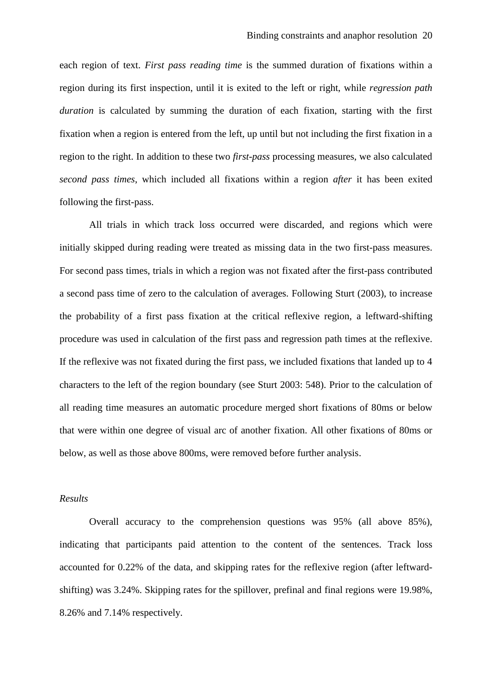each region of text. *First pass reading time* is the summed duration of fixations within a region during its first inspection, until it is exited to the left or right, while *regression path duration* is calculated by summing the duration of each fixation, starting with the first fixation when a region is entered from the left, up until but not including the first fixation in a region to the right. In addition to these two *first-pass* processing measures, we also calculated *second pass times*, which included all fixations within a region *after* it has been exited following the first-pass.

All trials in which track loss occurred were discarded, and regions which were initially skipped during reading were treated as missing data in the two first-pass measures. For second pass times, trials in which a region was not fixated after the first-pass contributed a second pass time of zero to the calculation of averages. Following Sturt (2003), to increase the probability of a first pass fixation at the critical reflexive region, a leftward-shifting procedure was used in calculation of the first pass and regression path times at the reflexive. If the reflexive was not fixated during the first pass, we included fixations that landed up to 4 characters to the left of the region boundary (see Sturt 2003: 548). Prior to the calculation of all reading time measures an automatic procedure merged short fixations of 80ms or below that were within one degree of visual arc of another fixation. All other fixations of 80ms or below, as well as those above 800ms, were removed before further analysis.

#### *Results*

Overall accuracy to the comprehension questions was 95% (all above 85%), indicating that participants paid attention to the content of the sentences. Track loss accounted for 0.22% of the data, and skipping rates for the reflexive region (after leftwardshifting) was 3.24%. Skipping rates for the spillover, prefinal and final regions were 19.98%, 8.26% and 7.14% respectively.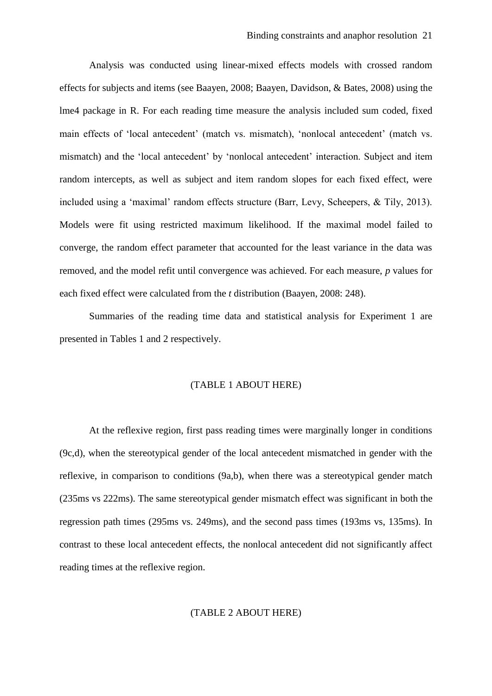Analysis was conducted using linear-mixed effects models with crossed random effects for subjects and items (see Baayen, 2008; Baayen, Davidson, & Bates, 2008) using the lme4 package in R. For each reading time measure the analysis included sum coded, fixed main effects of 'local antecedent' (match vs. mismatch), 'nonlocal antecedent' (match vs. mismatch) and the 'local antecedent' by 'nonlocal antecedent' interaction. Subject and item random intercepts, as well as subject and item random slopes for each fixed effect, were included using a 'maximal' random effects structure (Barr, Levy, Scheepers, & Tily, 2013). Models were fit using restricted maximum likelihood. If the maximal model failed to converge, the random effect parameter that accounted for the least variance in the data was removed, and the model refit until convergence was achieved. For each measure, *p* values for each fixed effect were calculated from the *t* distribution (Baayen, 2008: 248).

Summaries of the reading time data and statistical analysis for Experiment 1 are presented in Tables 1 and 2 respectively.

#### (TABLE 1 ABOUT HERE)

At the reflexive region, first pass reading times were marginally longer in conditions (9c,d), when the stereotypical gender of the local antecedent mismatched in gender with the reflexive, in comparison to conditions (9a,b), when there was a stereotypical gender match (235ms vs 222ms). The same stereotypical gender mismatch effect was significant in both the regression path times (295ms vs. 249ms), and the second pass times (193ms vs, 135ms). In contrast to these local antecedent effects, the nonlocal antecedent did not significantly affect reading times at the reflexive region.

#### (TABLE 2 ABOUT HERE)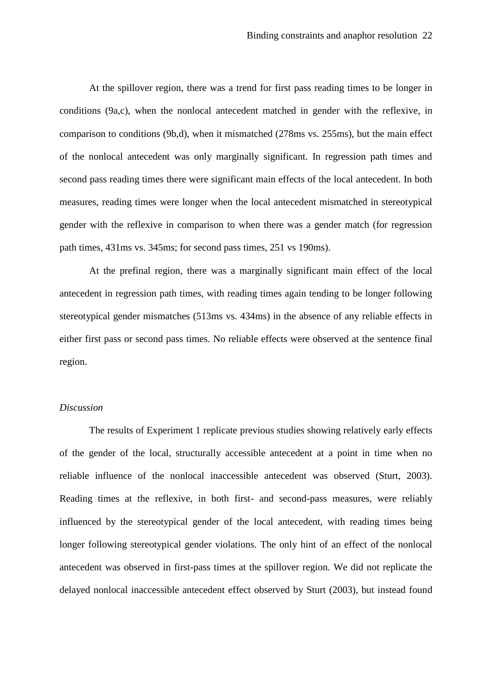At the spillover region, there was a trend for first pass reading times to be longer in conditions (9a,c), when the nonlocal antecedent matched in gender with the reflexive, in comparison to conditions (9b,d), when it mismatched (278ms vs. 255ms), but the main effect of the nonlocal antecedent was only marginally significant. In regression path times and second pass reading times there were significant main effects of the local antecedent. In both measures, reading times were longer when the local antecedent mismatched in stereotypical gender with the reflexive in comparison to when there was a gender match (for regression path times, 431ms vs. 345ms; for second pass times, 251 vs 190ms).

At the prefinal region, there was a marginally significant main effect of the local antecedent in regression path times, with reading times again tending to be longer following stereotypical gender mismatches (513ms vs. 434ms) in the absence of any reliable effects in either first pass or second pass times. No reliable effects were observed at the sentence final region.

#### *Discussion*

The results of Experiment 1 replicate previous studies showing relatively early effects of the gender of the local, structurally accessible antecedent at a point in time when no reliable influence of the nonlocal inaccessible antecedent was observed (Sturt, 2003). Reading times at the reflexive, in both first- and second-pass measures, were reliably influenced by the stereotypical gender of the local antecedent, with reading times being longer following stereotypical gender violations. The only hint of an effect of the nonlocal antecedent was observed in first-pass times at the spillover region. We did not replicate the delayed nonlocal inaccessible antecedent effect observed by Sturt (2003), but instead found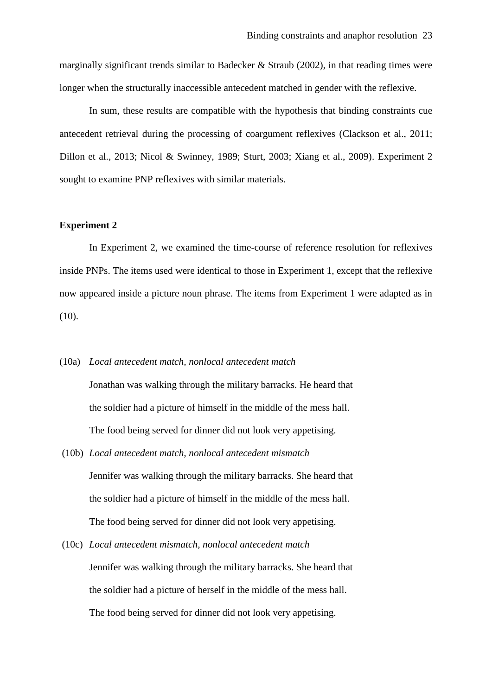marginally significant trends similar to Badecker  $\&$  Straub (2002), in that reading times were longer when the structurally inaccessible antecedent matched in gender with the reflexive.

In sum, these results are compatible with the hypothesis that binding constraints cue antecedent retrieval during the processing of coargument reflexives (Clackson et al., 2011; Dillon et al., 2013; Nicol & Swinney, 1989; Sturt, 2003; Xiang et al., 2009). Experiment 2 sought to examine PNP reflexives with similar materials.

#### **Experiment 2**

In Experiment 2, we examined the time-course of reference resolution for reflexives inside PNPs. The items used were identical to those in Experiment 1, except that the reflexive now appeared inside a picture noun phrase. The items from Experiment 1 were adapted as in  $(10).$ 

- (10a) *Local antecedent match, nonlocal antecedent match* Jonathan was walking through the military barracks. He heard that the soldier had a picture of himself in the middle of the mess hall. The food being served for dinner did not look very appetising.
- (10b) *Local antecedent match, nonlocal antecedent mismatch* Jennifer was walking through the military barracks. She heard that the soldier had a picture of himself in the middle of the mess hall. The food being served for dinner did not look very appetising.
- (10c) *Local antecedent mismatch, nonlocal antecedent match* Jennifer was walking through the military barracks. She heard that the soldier had a picture of herself in the middle of the mess hall. The food being served for dinner did not look very appetising.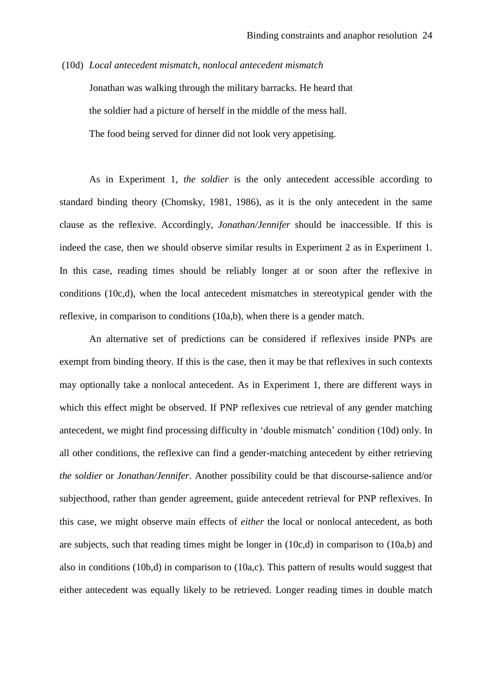#### (10d) *Local antecedent mismatch, nonlocal antecedent mismatch*

Jonathan was walking through the military barracks. He heard that the soldier had a picture of herself in the middle of the mess hall. The food being served for dinner did not look very appetising.

As in Experiment 1, *the soldier* is the only antecedent accessible according to standard binding theory (Chomsky, 1981, 1986), as it is the only antecedent in the same clause as the reflexive. Accordingly, *Jonathan/Jennifer* should be inaccessible. If this is indeed the case, then we should observe similar results in Experiment 2 as in Experiment 1. In this case, reading times should be reliably longer at or soon after the reflexive in conditions (10c,d), when the local antecedent mismatches in stereotypical gender with the reflexive, in comparison to conditions (10a,b), when there is a gender match.

An alternative set of predictions can be considered if reflexives inside PNPs are exempt from binding theory. If this is the case, then it may be that reflexives in such contexts may optionally take a nonlocal antecedent. As in Experiment 1, there are different ways in which this effect might be observed. If PNP reflexives cue retrieval of any gender matching antecedent, we might find processing difficulty in 'double mismatch' condition (10d) only. In all other conditions, the reflexive can find a gender-matching antecedent by either retrieving *the soldier* or *Jonathan/Jennifer*. Another possibility could be that discourse-salience and/or subjecthood, rather than gender agreement, guide antecedent retrieval for PNP reflexives. In this case, we might observe main effects of *either* the local or nonlocal antecedent, as both are subjects, such that reading times might be longer in (10c,d) in comparison to (10a,b) and also in conditions (10b,d) in comparison to (10a,c). This pattern of results would suggest that either antecedent was equally likely to be retrieved. Longer reading times in double match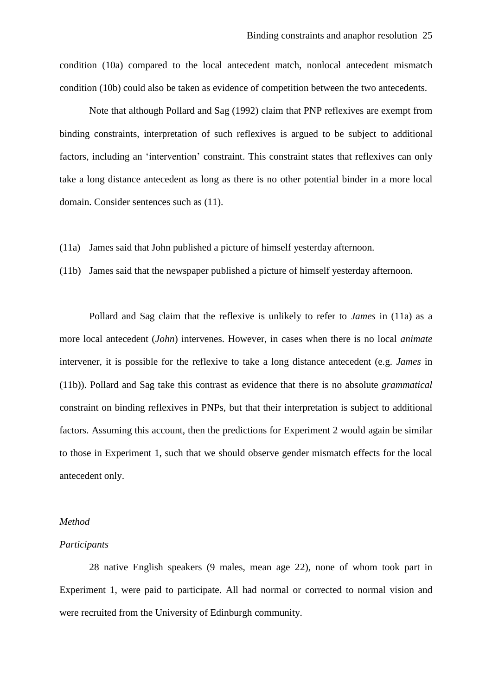condition (10a) compared to the local antecedent match, nonlocal antecedent mismatch condition (10b) could also be taken as evidence of competition between the two antecedents.

Note that although Pollard and Sag (1992) claim that PNP reflexives are exempt from binding constraints, interpretation of such reflexives is argued to be subject to additional factors, including an 'intervention' constraint. This constraint states that reflexives can only take a long distance antecedent as long as there is no other potential binder in a more local domain. Consider sentences such as (11).

(11a) James said that John published a picture of himself yesterday afternoon.

(11b) James said that the newspaper published a picture of himself yesterday afternoon.

Pollard and Sag claim that the reflexive is unlikely to refer to *James* in (11a) as a more local antecedent (*John*) intervenes. However, in cases when there is no local *animate*  intervener, it is possible for the reflexive to take a long distance antecedent (e.g. *James* in (11b)). Pollard and Sag take this contrast as evidence that there is no absolute *grammatical*  constraint on binding reflexives in PNPs, but that their interpretation is subject to additional factors. Assuming this account, then the predictions for Experiment 2 would again be similar to those in Experiment 1, such that we should observe gender mismatch effects for the local antecedent only.

#### *Method*

#### *Participants*

28 native English speakers (9 males, mean age 22), none of whom took part in Experiment 1, were paid to participate. All had normal or corrected to normal vision and were recruited from the University of Edinburgh community.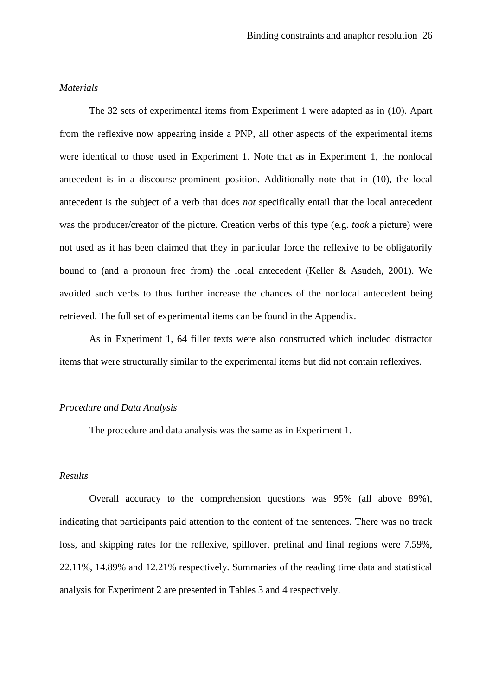#### *Materials*

The 32 sets of experimental items from Experiment 1 were adapted as in (10). Apart from the reflexive now appearing inside a PNP, all other aspects of the experimental items were identical to those used in Experiment 1. Note that as in Experiment 1, the nonlocal antecedent is in a discourse-prominent position. Additionally note that in (10), the local antecedent is the subject of a verb that does *not* specifically entail that the local antecedent was the producer/creator of the picture. Creation verbs of this type (e.g. *took* a picture) were not used as it has been claimed that they in particular force the reflexive to be obligatorily bound to (and a pronoun free from) the local antecedent (Keller & Asudeh, 2001). We avoided such verbs to thus further increase the chances of the nonlocal antecedent being retrieved. The full set of experimental items can be found in the Appendix.

As in Experiment 1, 64 filler texts were also constructed which included distractor items that were structurally similar to the experimental items but did not contain reflexives.

#### *Procedure and Data Analysis*

The procedure and data analysis was the same as in Experiment 1.

#### *Results*

Overall accuracy to the comprehension questions was 95% (all above 89%), indicating that participants paid attention to the content of the sentences. There was no track loss, and skipping rates for the reflexive, spillover, prefinal and final regions were 7.59%, 22.11%, 14.89% and 12.21% respectively. Summaries of the reading time data and statistical analysis for Experiment 2 are presented in Tables 3 and 4 respectively.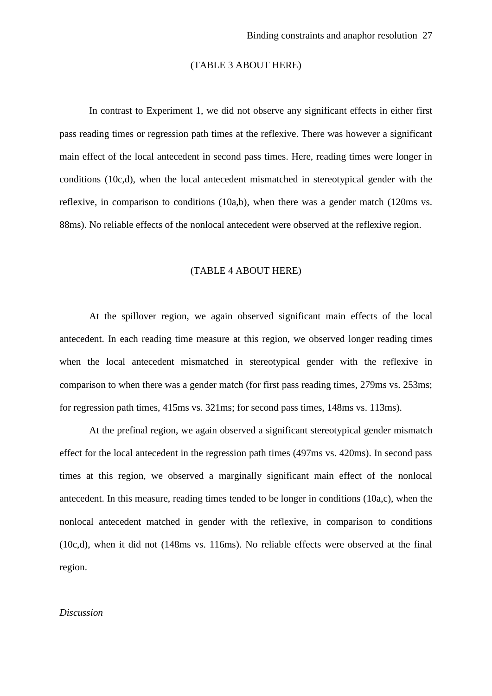#### (TABLE 3 ABOUT HERE)

In contrast to Experiment 1, we did not observe any significant effects in either first pass reading times or regression path times at the reflexive. There was however a significant main effect of the local antecedent in second pass times. Here, reading times were longer in conditions (10c,d), when the local antecedent mismatched in stereotypical gender with the reflexive, in comparison to conditions (10a,b), when there was a gender match (120ms vs. 88ms). No reliable effects of the nonlocal antecedent were observed at the reflexive region.

#### (TABLE 4 ABOUT HERE)

At the spillover region, we again observed significant main effects of the local antecedent. In each reading time measure at this region, we observed longer reading times when the local antecedent mismatched in stereotypical gender with the reflexive in comparison to when there was a gender match (for first pass reading times, 279ms vs. 253ms; for regression path times, 415ms vs. 321ms; for second pass times, 148ms vs. 113ms).

At the prefinal region, we again observed a significant stereotypical gender mismatch effect for the local antecedent in the regression path times (497ms vs. 420ms). In second pass times at this region, we observed a marginally significant main effect of the nonlocal antecedent. In this measure, reading times tended to be longer in conditions (10a,c), when the nonlocal antecedent matched in gender with the reflexive, in comparison to conditions (10c,d), when it did not (148ms vs. 116ms). No reliable effects were observed at the final region.

#### *Discussion*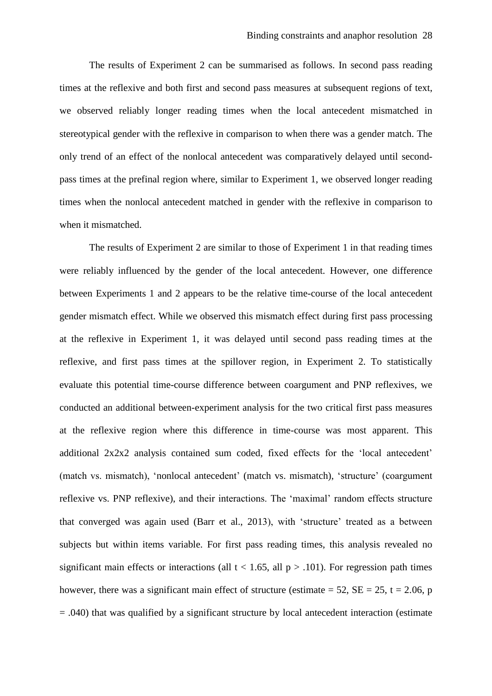The results of Experiment 2 can be summarised as follows. In second pass reading times at the reflexive and both first and second pass measures at subsequent regions of text, we observed reliably longer reading times when the local antecedent mismatched in stereotypical gender with the reflexive in comparison to when there was a gender match. The only trend of an effect of the nonlocal antecedent was comparatively delayed until secondpass times at the prefinal region where, similar to Experiment 1, we observed longer reading times when the nonlocal antecedent matched in gender with the reflexive in comparison to when it mismatched.

The results of Experiment 2 are similar to those of Experiment 1 in that reading times were reliably influenced by the gender of the local antecedent. However, one difference between Experiments 1 and 2 appears to be the relative time-course of the local antecedent gender mismatch effect. While we observed this mismatch effect during first pass processing at the reflexive in Experiment 1, it was delayed until second pass reading times at the reflexive, and first pass times at the spillover region, in Experiment 2. To statistically evaluate this potential time-course difference between coargument and PNP reflexives, we conducted an additional between-experiment analysis for the two critical first pass measures at the reflexive region where this difference in time-course was most apparent. This additional 2x2x2 analysis contained sum coded, fixed effects for the 'local antecedent' (match vs. mismatch), 'nonlocal antecedent' (match vs. mismatch), 'structure' (coargument reflexive vs. PNP reflexive), and their interactions. The 'maximal' random effects structure that converged was again used (Barr et al., 2013), with 'structure' treated as a between subjects but within items variable. For first pass reading times, this analysis revealed no significant main effects or interactions (all  $t < 1.65$ , all  $p > .101$ ). For regression path times however, there was a significant main effect of structure (estimate = 52,  $SE = 25$ ,  $t = 2.06$ , p = .040) that was qualified by a significant structure by local antecedent interaction (estimate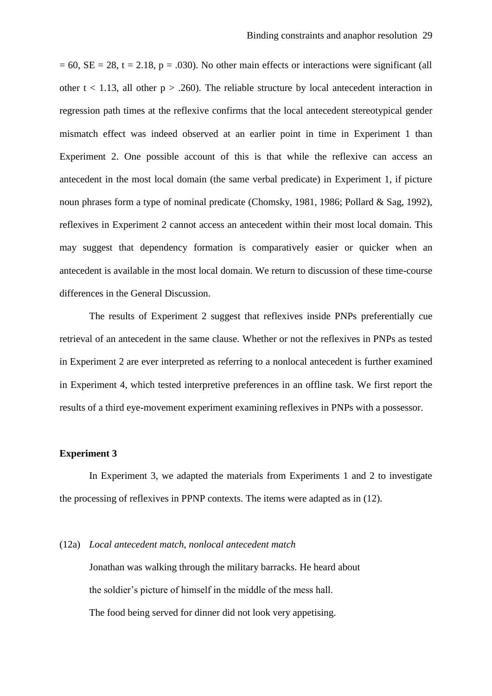$= 60$ , SE  $= 28$ , t  $= 2.18$ , p  $= .030$ ). No other main effects or interactions were significant (all other  $t < 1.13$ , all other  $p > .260$ . The reliable structure by local antecedent interaction in regression path times at the reflexive confirms that the local antecedent stereotypical gender mismatch effect was indeed observed at an earlier point in time in Experiment 1 than Experiment 2. One possible account of this is that while the reflexive can access an antecedent in the most local domain (the same verbal predicate) in Experiment 1, if picture noun phrases form a type of nominal predicate (Chomsky, 1981, 1986; Pollard & Sag, 1992), reflexives in Experiment 2 cannot access an antecedent within their most local domain. This may suggest that dependency formation is comparatively easier or quicker when an antecedent is available in the most local domain. We return to discussion of these time-course differences in the General Discussion.

The results of Experiment 2 suggest that reflexives inside PNPs preferentially cue retrieval of an antecedent in the same clause. Whether or not the reflexives in PNPs as tested in Experiment 2 are ever interpreted as referring to a nonlocal antecedent is further examined in Experiment 4, which tested interpretive preferences in an offline task. We first report the results of a third eye-movement experiment examining reflexives in PNPs with a possessor.

#### **Experiment 3**

In Experiment 3, we adapted the materials from Experiments 1 and 2 to investigate the processing of reflexives in PPNP contexts. The items were adapted as in (12).

#### (12a) *Local antecedent match, nonlocal antecedent match*

Jonathan was walking through the military barracks. He heard about the soldier's picture of himself in the middle of the mess hall. The food being served for dinner did not look very appetising.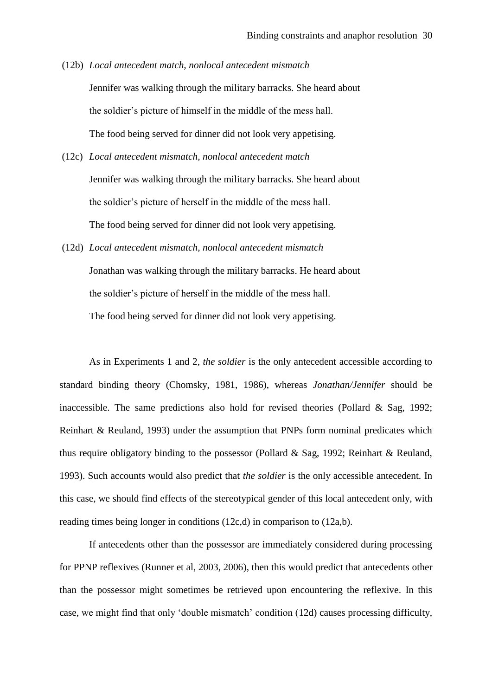- (12b) *Local antecedent match, nonlocal antecedent mismatch* Jennifer was walking through the military barracks. She heard about the soldier's picture of himself in the middle of the mess hall. The food being served for dinner did not look very appetising.
- (12c) *Local antecedent mismatch, nonlocal antecedent match* Jennifer was walking through the military barracks. She heard about the soldier's picture of herself in the middle of the mess hall. The food being served for dinner did not look very appetising.
- (12d) *Local antecedent mismatch, nonlocal antecedent mismatch* Jonathan was walking through the military barracks. He heard about the soldier's picture of herself in the middle of the mess hall. The food being served for dinner did not look very appetising.

As in Experiments 1 and 2, *the soldier* is the only antecedent accessible according to standard binding theory (Chomsky, 1981, 1986), whereas *Jonathan/Jennifer* should be inaccessible. The same predictions also hold for revised theories (Pollard & Sag, 1992; Reinhart & Reuland, 1993) under the assumption that PNPs form nominal predicates which thus require obligatory binding to the possessor (Pollard & Sag, 1992; Reinhart & Reuland, 1993). Such accounts would also predict that *the soldier* is the only accessible antecedent. In this case, we should find effects of the stereotypical gender of this local antecedent only, with reading times being longer in conditions (12c,d) in comparison to (12a,b).

If antecedents other than the possessor are immediately considered during processing for PPNP reflexives (Runner et al, 2003, 2006), then this would predict that antecedents other than the possessor might sometimes be retrieved upon encountering the reflexive. In this case, we might find that only 'double mismatch' condition (12d) causes processing difficulty,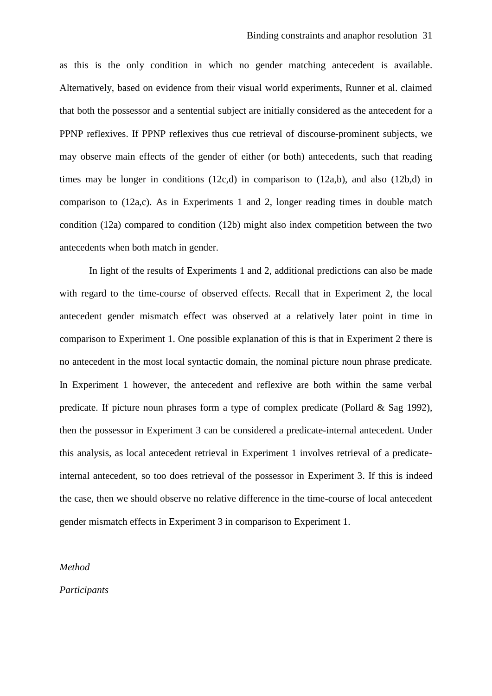as this is the only condition in which no gender matching antecedent is available. Alternatively, based on evidence from their visual world experiments, Runner et al. claimed that both the possessor and a sentential subject are initially considered as the antecedent for a PPNP reflexives. If PPNP reflexives thus cue retrieval of discourse-prominent subjects, we may observe main effects of the gender of either (or both) antecedents, such that reading times may be longer in conditions  $(12c,d)$  in comparison to  $(12a,b)$ , and also  $(12b,d)$  in comparison to (12a,c). As in Experiments 1 and 2, longer reading times in double match condition (12a) compared to condition (12b) might also index competition between the two antecedents when both match in gender.

In light of the results of Experiments 1 and 2, additional predictions can also be made with regard to the time-course of observed effects. Recall that in Experiment 2, the local antecedent gender mismatch effect was observed at a relatively later point in time in comparison to Experiment 1. One possible explanation of this is that in Experiment 2 there is no antecedent in the most local syntactic domain, the nominal picture noun phrase predicate. In Experiment 1 however, the antecedent and reflexive are both within the same verbal predicate. If picture noun phrases form a type of complex predicate (Pollard & Sag 1992), then the possessor in Experiment 3 can be considered a predicate-internal antecedent. Under this analysis, as local antecedent retrieval in Experiment 1 involves retrieval of a predicateinternal antecedent, so too does retrieval of the possessor in Experiment 3. If this is indeed the case, then we should observe no relative difference in the time-course of local antecedent gender mismatch effects in Experiment 3 in comparison to Experiment 1.

#### *Method*

#### *Participants*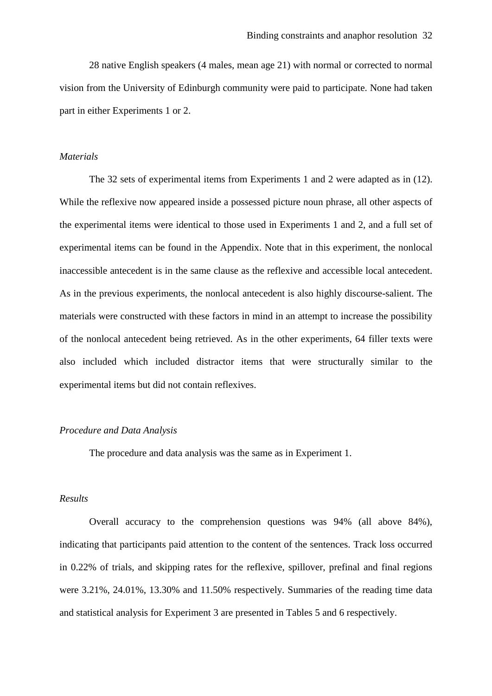28 native English speakers (4 males, mean age 21) with normal or corrected to normal vision from the University of Edinburgh community were paid to participate. None had taken part in either Experiments 1 or 2.

#### *Materials*

The 32 sets of experimental items from Experiments 1 and 2 were adapted as in (12). While the reflexive now appeared inside a possessed picture noun phrase, all other aspects of the experimental items were identical to those used in Experiments 1 and 2, and a full set of experimental items can be found in the Appendix. Note that in this experiment, the nonlocal inaccessible antecedent is in the same clause as the reflexive and accessible local antecedent. As in the previous experiments, the nonlocal antecedent is also highly discourse-salient. The materials were constructed with these factors in mind in an attempt to increase the possibility of the nonlocal antecedent being retrieved. As in the other experiments, 64 filler texts were also included which included distractor items that were structurally similar to the experimental items but did not contain reflexives.

#### *Procedure and Data Analysis*

The procedure and data analysis was the same as in Experiment 1.

#### *Results*

Overall accuracy to the comprehension questions was 94% (all above 84%), indicating that participants paid attention to the content of the sentences. Track loss occurred in 0.22% of trials, and skipping rates for the reflexive, spillover, prefinal and final regions were 3.21%, 24.01%, 13.30% and 11.50% respectively. Summaries of the reading time data and statistical analysis for Experiment 3 are presented in Tables 5 and 6 respectively.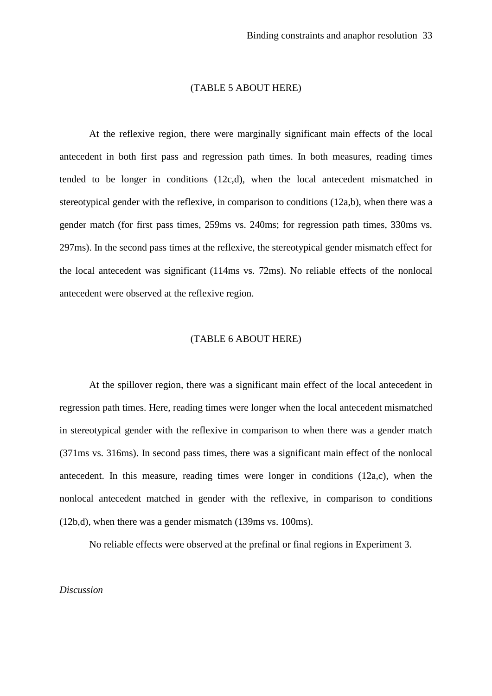#### (TABLE 5 ABOUT HERE)

At the reflexive region, there were marginally significant main effects of the local antecedent in both first pass and regression path times. In both measures, reading times tended to be longer in conditions (12c,d), when the local antecedent mismatched in stereotypical gender with the reflexive, in comparison to conditions (12a,b), when there was a gender match (for first pass times, 259ms vs. 240ms; for regression path times, 330ms vs. 297ms). In the second pass times at the reflexive, the stereotypical gender mismatch effect for the local antecedent was significant (114ms vs. 72ms). No reliable effects of the nonlocal antecedent were observed at the reflexive region.

#### (TABLE 6 ABOUT HERE)

At the spillover region, there was a significant main effect of the local antecedent in regression path times. Here, reading times were longer when the local antecedent mismatched in stereotypical gender with the reflexive in comparison to when there was a gender match (371ms vs. 316ms). In second pass times, there was a significant main effect of the nonlocal antecedent. In this measure, reading times were longer in conditions (12a,c), when the nonlocal antecedent matched in gender with the reflexive, in comparison to conditions (12b,d), when there was a gender mismatch (139ms vs. 100ms).

No reliable effects were observed at the prefinal or final regions in Experiment 3.

#### *Discussion*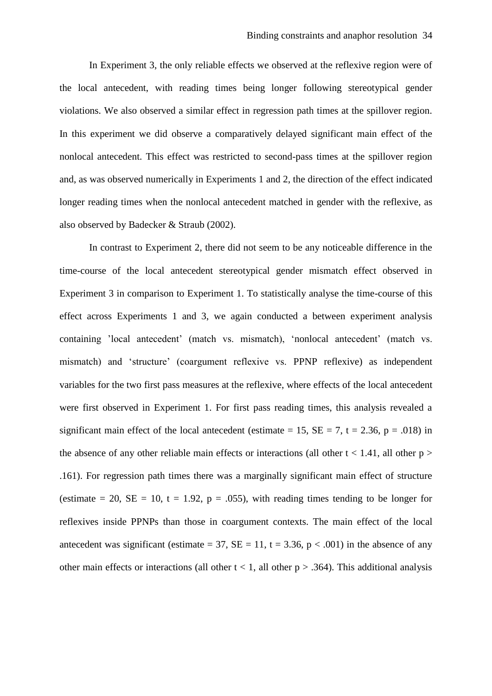In Experiment 3, the only reliable effects we observed at the reflexive region were of the local antecedent, with reading times being longer following stereotypical gender violations. We also observed a similar effect in regression path times at the spillover region. In this experiment we did observe a comparatively delayed significant main effect of the nonlocal antecedent. This effect was restricted to second-pass times at the spillover region and, as was observed numerically in Experiments 1 and 2, the direction of the effect indicated longer reading times when the nonlocal antecedent matched in gender with the reflexive, as also observed by Badecker & Straub (2002).

In contrast to Experiment 2, there did not seem to be any noticeable difference in the time-course of the local antecedent stereotypical gender mismatch effect observed in Experiment 3 in comparison to Experiment 1. To statistically analyse the time-course of this effect across Experiments 1 and 3, we again conducted a between experiment analysis containing 'local antecedent' (match vs. mismatch), 'nonlocal antecedent' (match vs. mismatch) and 'structure' (coargument reflexive vs. PPNP reflexive) as independent variables for the two first pass measures at the reflexive, where effects of the local antecedent were first observed in Experiment 1. For first pass reading times, this analysis revealed a significant main effect of the local antecedent (estimate = 15,  $SE = 7$ ,  $t = 2.36$ ,  $p = .018$ ) in the absence of any other reliable main effects or interactions (all other  $t < 1.41$ , all other  $p >$ .161). For regression path times there was a marginally significant main effect of structure (estimate  $= 20$ ,  $SE = 10$ ,  $t = 1.92$ ,  $p = .055$ ), with reading times tending to be longer for reflexives inside PPNPs than those in coargument contexts. The main effect of the local antecedent was significant (estimate = 37,  $SE = 11$ ,  $t = 3.36$ ,  $p < .001$ ) in the absence of any other main effects or interactions (all other  $t < 1$ , all other  $p > .364$ ). This additional analysis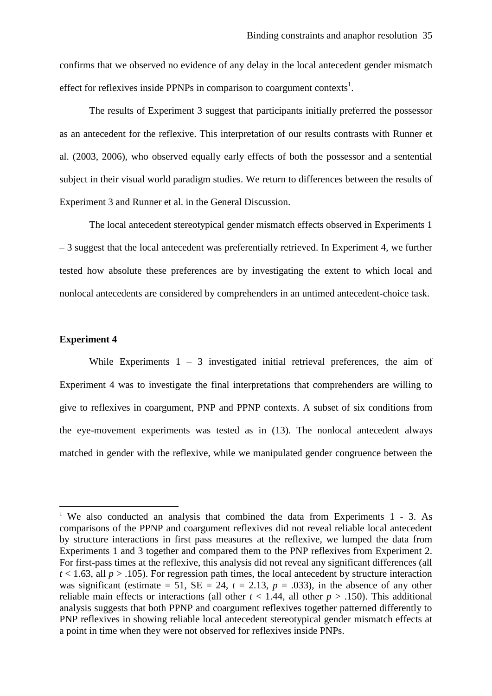confirms that we observed no evidence of any delay in the local antecedent gender mismatch effect for reflexives inside PPNPs in comparison to coargument contexts<sup>1</sup>.

The results of Experiment 3 suggest that participants initially preferred the possessor as an antecedent for the reflexive. This interpretation of our results contrasts with Runner et al. (2003, 2006), who observed equally early effects of both the possessor and a sentential subject in their visual world paradigm studies. We return to differences between the results of Experiment 3 and Runner et al. in the General Discussion.

The local antecedent stereotypical gender mismatch effects observed in Experiments 1 – 3 suggest that the local antecedent was preferentially retrieved. In Experiment 4, we further tested how absolute these preferences are by investigating the extent to which local and nonlocal antecedents are considered by comprehenders in an untimed antecedent-choice task.

#### **Experiment 4**

1

While Experiments  $1 - 3$  investigated initial retrieval preferences, the aim of Experiment 4 was to investigate the final interpretations that comprehenders are willing to give to reflexives in coargument, PNP and PPNP contexts. A subset of six conditions from the eye-movement experiments was tested as in (13). The nonlocal antecedent always matched in gender with the reflexive, while we manipulated gender congruence between the

<sup>&</sup>lt;sup>1</sup> We also conducted an analysis that combined the data from Experiments 1 - 3. As comparisons of the PPNP and coargument reflexives did not reveal reliable local antecedent by structure interactions in first pass measures at the reflexive, we lumped the data from Experiments 1 and 3 together and compared them to the PNP reflexives from Experiment 2. For first-pass times at the reflexive, this analysis did not reveal any significant differences (all  $t < 1.63$ , all  $p > .105$ ). For regression path times, the local antecedent by structure interaction was significant (estimate = 51,  $SE = 24$ ,  $t = 2.13$ ,  $p = .033$ ), in the absence of any other reliable main effects or interactions (all other  $t < 1.44$ , all other  $p > .150$ ). This additional analysis suggests that both PPNP and coargument reflexives together patterned differently to PNP reflexives in showing reliable local antecedent stereotypical gender mismatch effects at a point in time when they were not observed for reflexives inside PNPs.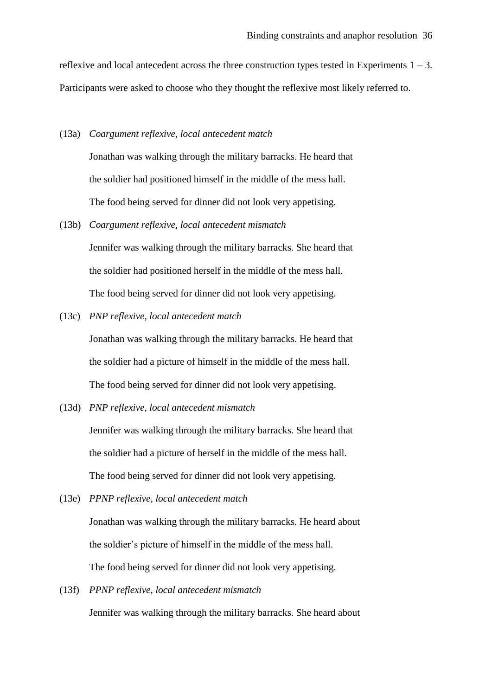reflexive and local antecedent across the three construction types tested in Experiments  $1 - 3$ . Participants were asked to choose who they thought the reflexive most likely referred to.

## (13a) *Coargument reflexive, local antecedent match*

Jonathan was walking through the military barracks. He heard that the soldier had positioned himself in the middle of the mess hall. The food being served for dinner did not look very appetising.

- (13b) *Coargument reflexive, local antecedent mismatch* Jennifer was walking through the military barracks. She heard that the soldier had positioned herself in the middle of the mess hall. The food being served for dinner did not look very appetising.
- (13c) *PNP reflexive, local antecedent match*

Jonathan was walking through the military barracks. He heard that the soldier had a picture of himself in the middle of the mess hall. The food being served for dinner did not look very appetising.

(13d) *PNP reflexive, local antecedent mismatch*

Jennifer was walking through the military barracks. She heard that the soldier had a picture of herself in the middle of the mess hall. The food being served for dinner did not look very appetising.

(13e) *PPNP reflexive, local antecedent match*

Jonathan was walking through the military barracks. He heard about the soldier's picture of himself in the middle of the mess hall. The food being served for dinner did not look very appetising.

(13f) *PPNP reflexive, local antecedent mismatch*

Jennifer was walking through the military barracks. She heard about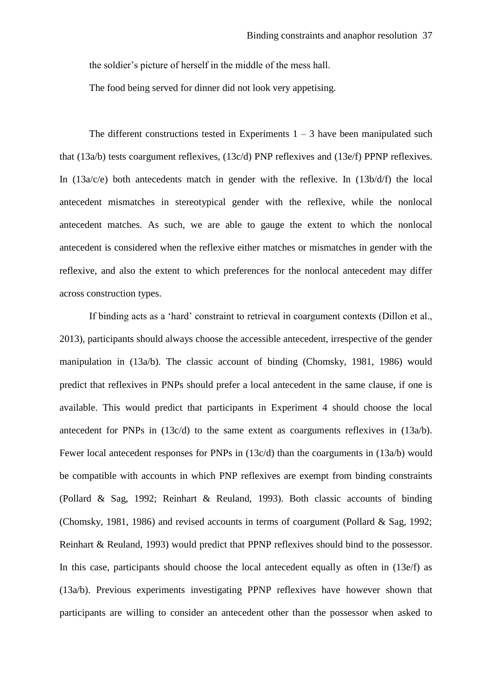the soldier's picture of herself in the middle of the mess hall.

The food being served for dinner did not look very appetising.

The different constructions tested in Experiments  $1 - 3$  have been manipulated such that (13a/b) tests coargument reflexives, (13c/d) PNP reflexives and (13e/f) PPNP reflexives. In (13a/c/e) both antecedents match in gender with the reflexive. In (13b/d/f) the local antecedent mismatches in stereotypical gender with the reflexive, while the nonlocal antecedent matches. As such, we are able to gauge the extent to which the nonlocal antecedent is considered when the reflexive either matches or mismatches in gender with the reflexive, and also the extent to which preferences for the nonlocal antecedent may differ across construction types.

If binding acts as a 'hard' constraint to retrieval in coargument contexts (Dillon et al., 2013), participants should always choose the accessible antecedent, irrespective of the gender manipulation in (13a/b). The classic account of binding (Chomsky, 1981, 1986) would predict that reflexives in PNPs should prefer a local antecedent in the same clause, if one is available. This would predict that participants in Experiment 4 should choose the local antecedent for PNPs in (13c/d) to the same extent as coarguments reflexives in (13a/b). Fewer local antecedent responses for PNPs in (13c/d) than the coarguments in (13a/b) would be compatible with accounts in which PNP reflexives are exempt from binding constraints (Pollard & Sag, 1992; Reinhart & Reuland, 1993). Both classic accounts of binding (Chomsky, 1981, 1986) and revised accounts in terms of coargument (Pollard & Sag, 1992; Reinhart & Reuland, 1993) would predict that PPNP reflexives should bind to the possessor. In this case, participants should choose the local antecedent equally as often in (13e/f) as (13a/b). Previous experiments investigating PPNP reflexives have however shown that participants are willing to consider an antecedent other than the possessor when asked to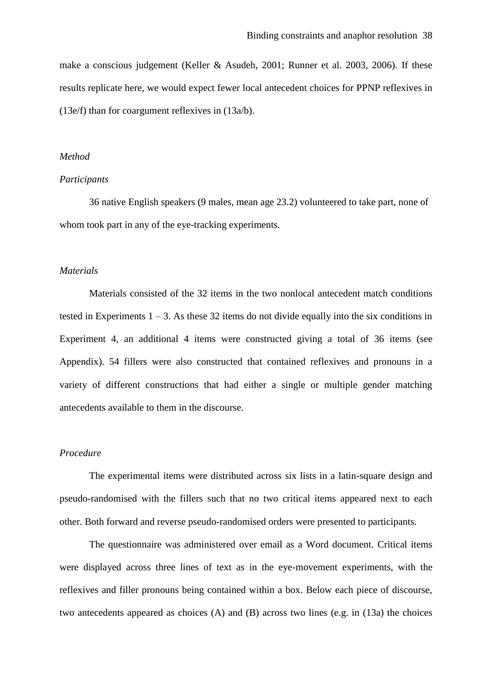make a conscious judgement (Keller & Asudeh, 2001; Runner et al. 2003, 2006). If these results replicate here, we would expect fewer local antecedent choices for PPNP reflexives in (13e/f) than for coargument reflexives in (13a/b).

## *Method*

## *Participants*

36 native English speakers (9 males, mean age 23.2) volunteered to take part, none of whom took part in any of the eye-tracking experiments.

#### *Materials*

Materials consisted of the 32 items in the two nonlocal antecedent match conditions tested in Experiments  $1 - 3$ . As these 32 items do not divide equally into the six conditions in Experiment 4, an additional 4 items were constructed giving a total of 36 items (see Appendix). 54 fillers were also constructed that contained reflexives and pronouns in a variety of different constructions that had either a single or multiple gender matching antecedents available to them in the discourse.

## *Procedure*

The experimental items were distributed across six lists in a latin-square design and pseudo-randomised with the fillers such that no two critical items appeared next to each other. Both forward and reverse pseudo-randomised orders were presented to participants.

The questionnaire was administered over email as a Word document. Critical items were displayed across three lines of text as in the eye-movement experiments, with the reflexives and filler pronouns being contained within a box. Below each piece of discourse, two antecedents appeared as choices (A) and (B) across two lines (e.g. in (13a) the choices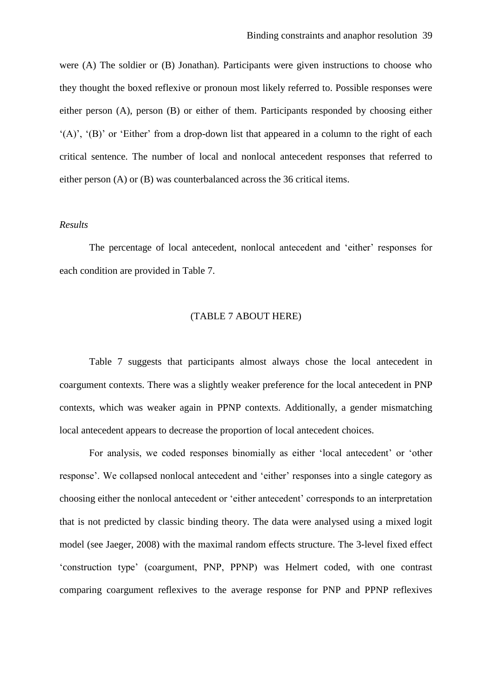were (A) The soldier or (B) Jonathan). Participants were given instructions to choose who they thought the boxed reflexive or pronoun most likely referred to. Possible responses were either person (A), person (B) or either of them. Participants responded by choosing either '(A)', '(B)' or 'Either' from a drop-down list that appeared in a column to the right of each critical sentence. The number of local and nonlocal antecedent responses that referred to either person (A) or (B) was counterbalanced across the 36 critical items.

#### *Results*

The percentage of local antecedent, nonlocal antecedent and 'either' responses for each condition are provided in Table 7.

#### (TABLE 7 ABOUT HERE)

Table 7 suggests that participants almost always chose the local antecedent in coargument contexts. There was a slightly weaker preference for the local antecedent in PNP contexts, which was weaker again in PPNP contexts. Additionally, a gender mismatching local antecedent appears to decrease the proportion of local antecedent choices.

For analysis, we coded responses binomially as either 'local antecedent' or 'other response'. We collapsed nonlocal antecedent and 'either' responses into a single category as choosing either the nonlocal antecedent or 'either antecedent' corresponds to an interpretation that is not predicted by classic binding theory. The data were analysed using a mixed logit model (see Jaeger, 2008) with the maximal random effects structure. The 3-level fixed effect 'construction type' (coargument, PNP, PPNP) was Helmert coded, with one contrast comparing coargument reflexives to the average response for PNP and PPNP reflexives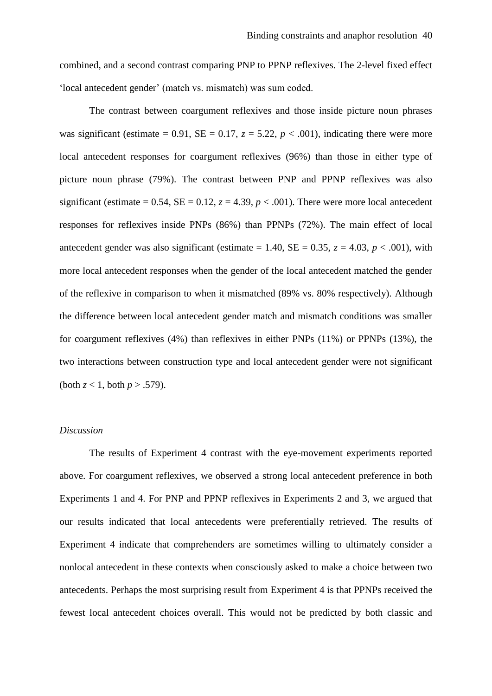combined, and a second contrast comparing PNP to PPNP reflexives. The 2-level fixed effect 'local antecedent gender' (match vs. mismatch) was sum coded.

The contrast between coargument reflexives and those inside picture noun phrases was significant (estimate = 0.91,  $SE = 0.17$ ,  $z = 5.22$ ,  $p < .001$ ), indicating there were more local antecedent responses for coargument reflexives (96%) than those in either type of picture noun phrase (79%). The contrast between PNP and PPNP reflexives was also significant (estimate =  $0.54$ ,  $SE = 0.12$ ,  $z = 4.39$ ,  $p < .001$ ). There were more local antecedent responses for reflexives inside PNPs (86%) than PPNPs (72%). The main effect of local antecedent gender was also significant (estimate = 1.40,  $SE = 0.35$ ,  $z = 4.03$ ,  $p < .001$ ), with more local antecedent responses when the gender of the local antecedent matched the gender of the reflexive in comparison to when it mismatched (89% vs. 80% respectively). Although the difference between local antecedent gender match and mismatch conditions was smaller for coargument reflexives (4%) than reflexives in either PNPs (11%) or PPNPs (13%), the two interactions between construction type and local antecedent gender were not significant (both  $z < 1$ , both  $p > .579$ ).

# *Discussion*

The results of Experiment 4 contrast with the eye-movement experiments reported above. For coargument reflexives, we observed a strong local antecedent preference in both Experiments 1 and 4. For PNP and PPNP reflexives in Experiments 2 and 3, we argued that our results indicated that local antecedents were preferentially retrieved. The results of Experiment 4 indicate that comprehenders are sometimes willing to ultimately consider a nonlocal antecedent in these contexts when consciously asked to make a choice between two antecedents. Perhaps the most surprising result from Experiment 4 is that PPNPs received the fewest local antecedent choices overall. This would not be predicted by both classic and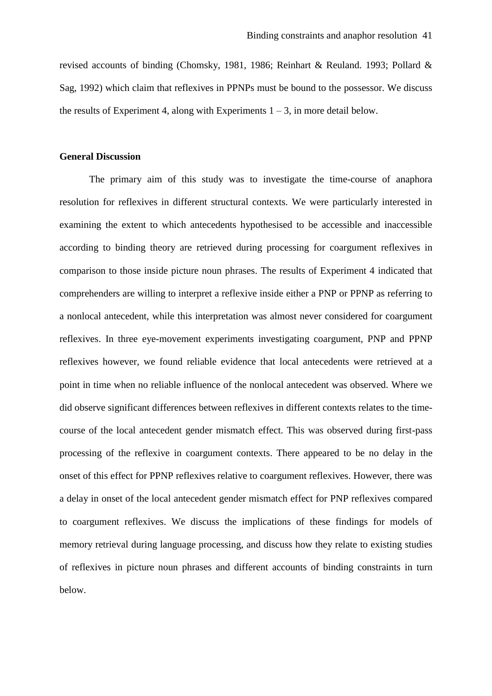revised accounts of binding (Chomsky, 1981, 1986; Reinhart & Reuland. 1993; Pollard & Sag, 1992) which claim that reflexives in PPNPs must be bound to the possessor. We discuss the results of Experiment 4, along with Experiments  $1 - 3$ , in more detail below.

#### **General Discussion**

The primary aim of this study was to investigate the time-course of anaphora resolution for reflexives in different structural contexts. We were particularly interested in examining the extent to which antecedents hypothesised to be accessible and inaccessible according to binding theory are retrieved during processing for coargument reflexives in comparison to those inside picture noun phrases. The results of Experiment 4 indicated that comprehenders are willing to interpret a reflexive inside either a PNP or PPNP as referring to a nonlocal antecedent, while this interpretation was almost never considered for coargument reflexives. In three eye-movement experiments investigating coargument, PNP and PPNP reflexives however, we found reliable evidence that local antecedents were retrieved at a point in time when no reliable influence of the nonlocal antecedent was observed. Where we did observe significant differences between reflexives in different contexts relates to the timecourse of the local antecedent gender mismatch effect. This was observed during first-pass processing of the reflexive in coargument contexts. There appeared to be no delay in the onset of this effect for PPNP reflexives relative to coargument reflexives. However, there was a delay in onset of the local antecedent gender mismatch effect for PNP reflexives compared to coargument reflexives. We discuss the implications of these findings for models of memory retrieval during language processing, and discuss how they relate to existing studies of reflexives in picture noun phrases and different accounts of binding constraints in turn below.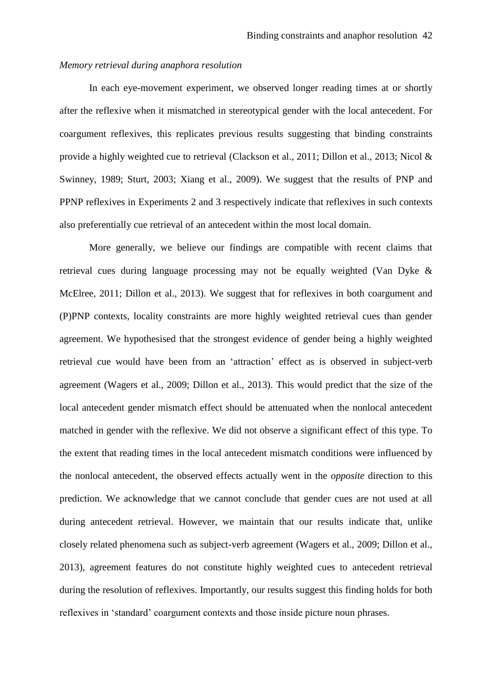## *Memory retrieval during anaphora resolution*

In each eye-movement experiment, we observed longer reading times at or shortly after the reflexive when it mismatched in stereotypical gender with the local antecedent. For coargument reflexives, this replicates previous results suggesting that binding constraints provide a highly weighted cue to retrieval (Clackson et al., 2011; Dillon et al., 2013; Nicol & Swinney, 1989; Sturt, 2003; Xiang et al., 2009). We suggest that the results of PNP and PPNP reflexives in Experiments 2 and 3 respectively indicate that reflexives in such contexts also preferentially cue retrieval of an antecedent within the most local domain.

More generally, we believe our findings are compatible with recent claims that retrieval cues during language processing may not be equally weighted (Van Dyke & McElree, 2011; Dillon et al., 2013). We suggest that for reflexives in both coargument and (P)PNP contexts, locality constraints are more highly weighted retrieval cues than gender agreement. We hypothesised that the strongest evidence of gender being a highly weighted retrieval cue would have been from an 'attraction' effect as is observed in subject-verb agreement (Wagers et al., 2009; Dillon et al., 2013). This would predict that the size of the local antecedent gender mismatch effect should be attenuated when the nonlocal antecedent matched in gender with the reflexive. We did not observe a significant effect of this type. To the extent that reading times in the local antecedent mismatch conditions were influenced by the nonlocal antecedent, the observed effects actually went in the *opposite* direction to this prediction. We acknowledge that we cannot conclude that gender cues are not used at all during antecedent retrieval. However, we maintain that our results indicate that, unlike closely related phenomena such as subject-verb agreement (Wagers et al., 2009; Dillon et al., 2013), agreement features do not constitute highly weighted cues to antecedent retrieval during the resolution of reflexives. Importantly, our results suggest this finding holds for both reflexives in 'standard' coargument contexts and those inside picture noun phrases.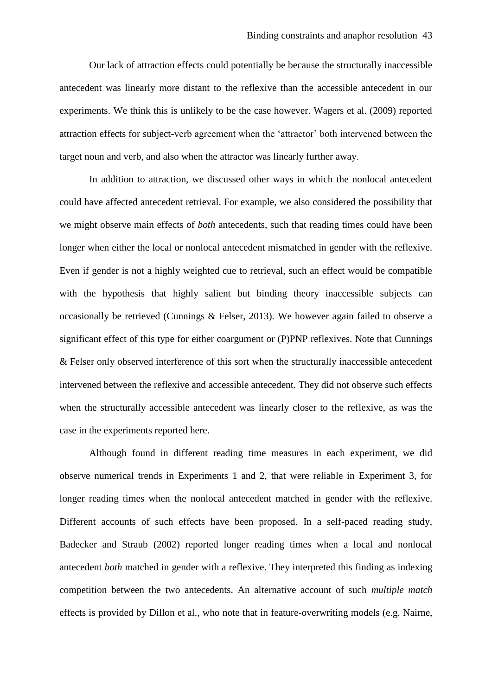Our lack of attraction effects could potentially be because the structurally inaccessible antecedent was linearly more distant to the reflexive than the accessible antecedent in our experiments. We think this is unlikely to be the case however. Wagers et al. (2009) reported attraction effects for subject-verb agreement when the 'attractor' both intervened between the target noun and verb, and also when the attractor was linearly further away.

In addition to attraction, we discussed other ways in which the nonlocal antecedent could have affected antecedent retrieval. For example, we also considered the possibility that we might observe main effects of *both* antecedents, such that reading times could have been longer when either the local or nonlocal antecedent mismatched in gender with the reflexive. Even if gender is not a highly weighted cue to retrieval, such an effect would be compatible with the hypothesis that highly salient but binding theory inaccessible subjects can occasionally be retrieved (Cunnings & Felser, 2013). We however again failed to observe a significant effect of this type for either coargument or (P)PNP reflexives. Note that Cunnings & Felser only observed interference of this sort when the structurally inaccessible antecedent intervened between the reflexive and accessible antecedent. They did not observe such effects when the structurally accessible antecedent was linearly closer to the reflexive, as was the case in the experiments reported here.

Although found in different reading time measures in each experiment, we did observe numerical trends in Experiments 1 and 2, that were reliable in Experiment 3, for longer reading times when the nonlocal antecedent matched in gender with the reflexive. Different accounts of such effects have been proposed. In a self-paced reading study, Badecker and Straub (2002) reported longer reading times when a local and nonlocal antecedent *both* matched in gender with a reflexive. They interpreted this finding as indexing competition between the two antecedents. An alternative account of such *multiple match*  effects is provided by Dillon et al., who note that in feature-overwriting models (e.g. Nairne,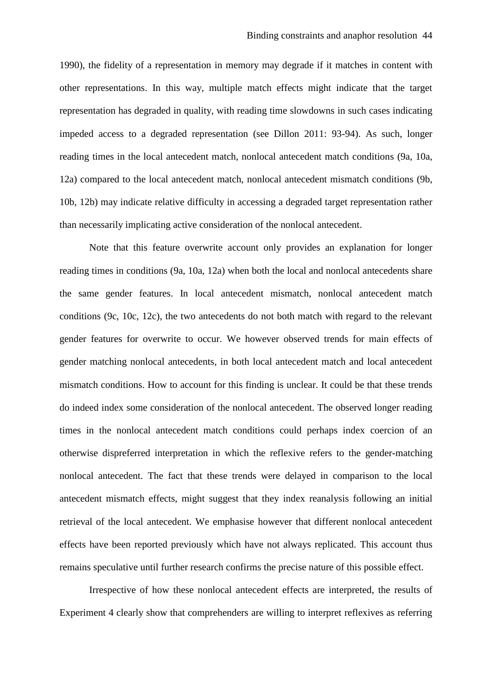1990), the fidelity of a representation in memory may degrade if it matches in content with other representations. In this way, multiple match effects might indicate that the target representation has degraded in quality, with reading time slowdowns in such cases indicating impeded access to a degraded representation (see Dillon 2011: 93-94). As such, longer reading times in the local antecedent match, nonlocal antecedent match conditions (9a, 10a, 12a) compared to the local antecedent match, nonlocal antecedent mismatch conditions (9b, 10b, 12b) may indicate relative difficulty in accessing a degraded target representation rather than necessarily implicating active consideration of the nonlocal antecedent.

Note that this feature overwrite account only provides an explanation for longer reading times in conditions (9a, 10a, 12a) when both the local and nonlocal antecedents share the same gender features. In local antecedent mismatch, nonlocal antecedent match conditions (9c, 10c, 12c), the two antecedents do not both match with regard to the relevant gender features for overwrite to occur. We however observed trends for main effects of gender matching nonlocal antecedents, in both local antecedent match and local antecedent mismatch conditions. How to account for this finding is unclear. It could be that these trends do indeed index some consideration of the nonlocal antecedent. The observed longer reading times in the nonlocal antecedent match conditions could perhaps index coercion of an otherwise dispreferred interpretation in which the reflexive refers to the gender-matching nonlocal antecedent. The fact that these trends were delayed in comparison to the local antecedent mismatch effects, might suggest that they index reanalysis following an initial retrieval of the local antecedent. We emphasise however that different nonlocal antecedent effects have been reported previously which have not always replicated. This account thus remains speculative until further research confirms the precise nature of this possible effect.

Irrespective of how these nonlocal antecedent effects are interpreted, the results of Experiment 4 clearly show that comprehenders are willing to interpret reflexives as referring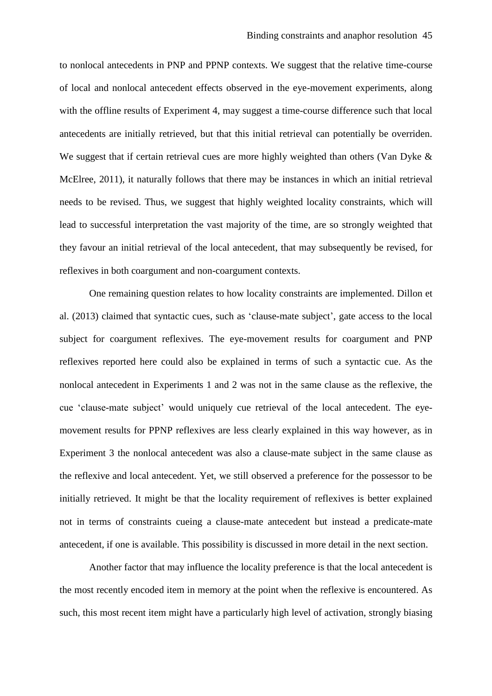to nonlocal antecedents in PNP and PPNP contexts. We suggest that the relative time-course of local and nonlocal antecedent effects observed in the eye-movement experiments, along with the offline results of Experiment 4, may suggest a time-course difference such that local antecedents are initially retrieved, but that this initial retrieval can potentially be overriden. We suggest that if certain retrieval cues are more highly weighted than others (Van Dyke & McElree, 2011), it naturally follows that there may be instances in which an initial retrieval needs to be revised. Thus, we suggest that highly weighted locality constraints, which will lead to successful interpretation the vast majority of the time, are so strongly weighted that they favour an initial retrieval of the local antecedent, that may subsequently be revised, for reflexives in both coargument and non-coargument contexts.

One remaining question relates to how locality constraints are implemented. Dillon et al. (2013) claimed that syntactic cues, such as 'clause-mate subject', gate access to the local subject for coargument reflexives. The eye-movement results for coargument and PNP reflexives reported here could also be explained in terms of such a syntactic cue. As the nonlocal antecedent in Experiments 1 and 2 was not in the same clause as the reflexive, the cue 'clause-mate subject' would uniquely cue retrieval of the local antecedent. The eyemovement results for PPNP reflexives are less clearly explained in this way however, as in Experiment 3 the nonlocal antecedent was also a clause-mate subject in the same clause as the reflexive and local antecedent. Yet, we still observed a preference for the possessor to be initially retrieved. It might be that the locality requirement of reflexives is better explained not in terms of constraints cueing a clause-mate antecedent but instead a predicate-mate antecedent, if one is available. This possibility is discussed in more detail in the next section.

Another factor that may influence the locality preference is that the local antecedent is the most recently encoded item in memory at the point when the reflexive is encountered. As such, this most recent item might have a particularly high level of activation, strongly biasing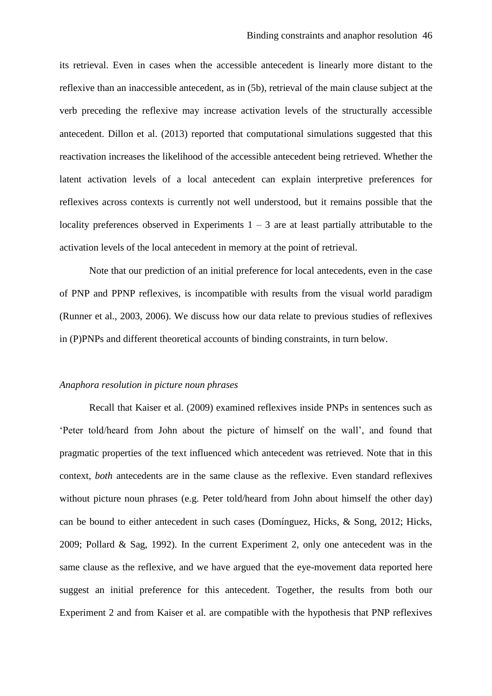its retrieval. Even in cases when the accessible antecedent is linearly more distant to the reflexive than an inaccessible antecedent, as in (5b), retrieval of the main clause subject at the verb preceding the reflexive may increase activation levels of the structurally accessible antecedent. Dillon et al. (2013) reported that computational simulations suggested that this reactivation increases the likelihood of the accessible antecedent being retrieved. Whether the latent activation levels of a local antecedent can explain interpretive preferences for reflexives across contexts is currently not well understood, but it remains possible that the locality preferences observed in Experiments  $1 - 3$  are at least partially attributable to the activation levels of the local antecedent in memory at the point of retrieval.

Note that our prediction of an initial preference for local antecedents, even in the case of PNP and PPNP reflexives, is incompatible with results from the visual world paradigm (Runner et al., 2003, 2006). We discuss how our data relate to previous studies of reflexives in (P)PNPs and different theoretical accounts of binding constraints, in turn below.

## *Anaphora resolution in picture noun phrases*

Recall that Kaiser et al. (2009) examined reflexives inside PNPs in sentences such as 'Peter told/heard from John about the picture of himself on the wall', and found that pragmatic properties of the text influenced which antecedent was retrieved. Note that in this context, *both* antecedents are in the same clause as the reflexive. Even standard reflexives without picture noun phrases (e.g. Peter told/heard from John about himself the other day) can be bound to either antecedent in such cases (Domínguez, Hicks, & Song, 2012; Hicks, 2009; Pollard & Sag, 1992). In the current Experiment 2, only one antecedent was in the same clause as the reflexive, and we have argued that the eye-movement data reported here suggest an initial preference for this antecedent. Together, the results from both our Experiment 2 and from Kaiser et al. are compatible with the hypothesis that PNP reflexives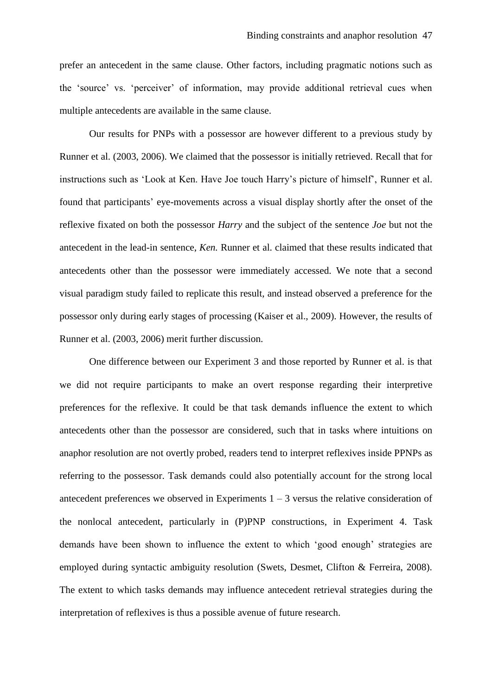prefer an antecedent in the same clause. Other factors, including pragmatic notions such as the 'source' vs. 'perceiver' of information, may provide additional retrieval cues when multiple antecedents are available in the same clause.

Our results for PNPs with a possessor are however different to a previous study by Runner et al. (2003, 2006). We claimed that the possessor is initially retrieved. Recall that for instructions such as 'Look at Ken. Have Joe touch Harry's picture of himself', Runner et al. found that participants' eye-movements across a visual display shortly after the onset of the reflexive fixated on both the possessor *Harry* and the subject of the sentence *Joe* but not the antecedent in the lead-in sentence, *Ken.* Runner et al. claimed that these results indicated that antecedents other than the possessor were immediately accessed. We note that a second visual paradigm study failed to replicate this result, and instead observed a preference for the possessor only during early stages of processing (Kaiser et al., 2009). However, the results of Runner et al. (2003, 2006) merit further discussion.

One difference between our Experiment 3 and those reported by Runner et al. is that we did not require participants to make an overt response regarding their interpretive preferences for the reflexive. It could be that task demands influence the extent to which antecedents other than the possessor are considered, such that in tasks where intuitions on anaphor resolution are not overtly probed, readers tend to interpret reflexives inside PPNPs as referring to the possessor. Task demands could also potentially account for the strong local antecedent preferences we observed in Experiments  $1 - 3$  versus the relative consideration of the nonlocal antecedent, particularly in (P)PNP constructions, in Experiment 4. Task demands have been shown to influence the extent to which 'good enough' strategies are employed during syntactic ambiguity resolution (Swets, Desmet, Clifton & Ferreira, 2008). The extent to which tasks demands may influence antecedent retrieval strategies during the interpretation of reflexives is thus a possible avenue of future research.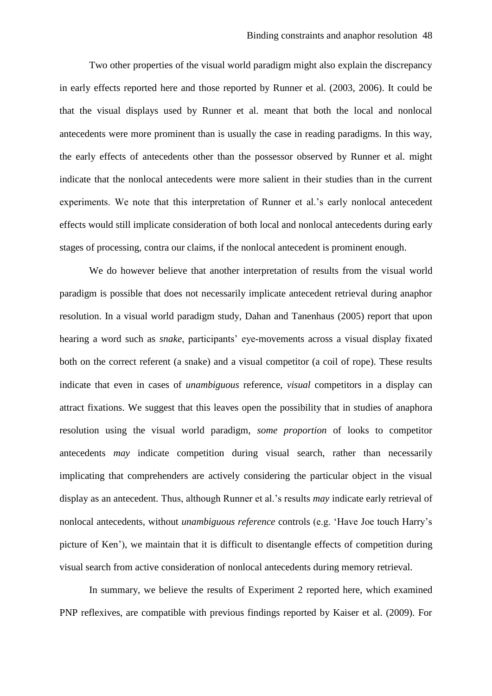Two other properties of the visual world paradigm might also explain the discrepancy in early effects reported here and those reported by Runner et al. (2003, 2006). It could be that the visual displays used by Runner et al. meant that both the local and nonlocal antecedents were more prominent than is usually the case in reading paradigms. In this way, the early effects of antecedents other than the possessor observed by Runner et al. might indicate that the nonlocal antecedents were more salient in their studies than in the current experiments. We note that this interpretation of Runner et al.'s early nonlocal antecedent effects would still implicate consideration of both local and nonlocal antecedents during early stages of processing, contra our claims, if the nonlocal antecedent is prominent enough.

We do however believe that another interpretation of results from the visual world paradigm is possible that does not necessarily implicate antecedent retrieval during anaphor resolution. In a visual world paradigm study, Dahan and Tanenhaus (2005) report that upon hearing a word such as *snake*, participants' eye-movements across a visual display fixated both on the correct referent (a snake) and a visual competitor (a coil of rope). These results indicate that even in cases of *unambiguous* reference, *visual* competitors in a display can attract fixations. We suggest that this leaves open the possibility that in studies of anaphora resolution using the visual world paradigm, *some proportion* of looks to competitor antecedents *may* indicate competition during visual search, rather than necessarily implicating that comprehenders are actively considering the particular object in the visual display as an antecedent. Thus, although Runner et al.'s results *may* indicate early retrieval of nonlocal antecedents, without *unambiguous reference* controls (e.g. 'Have Joe touch Harry's picture of Ken'), we maintain that it is difficult to disentangle effects of competition during visual search from active consideration of nonlocal antecedents during memory retrieval.

In summary, we believe the results of Experiment 2 reported here, which examined PNP reflexives, are compatible with previous findings reported by Kaiser et al. (2009). For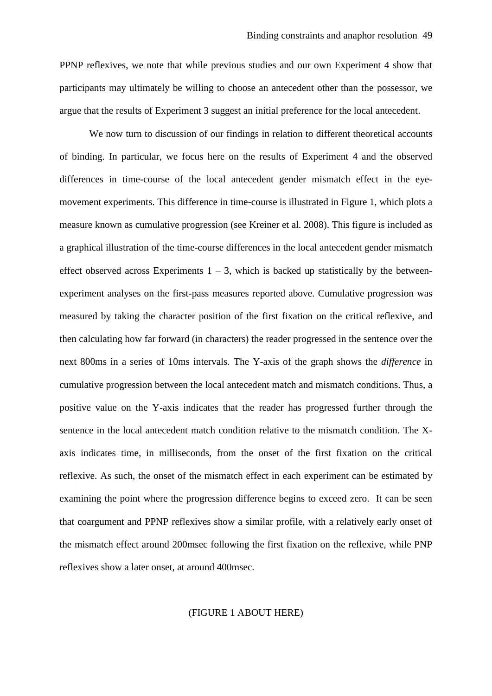PPNP reflexives, we note that while previous studies and our own Experiment 4 show that participants may ultimately be willing to choose an antecedent other than the possessor, we argue that the results of Experiment 3 suggest an initial preference for the local antecedent.

We now turn to discussion of our findings in relation to different theoretical accounts of binding. In particular, we focus here on the results of Experiment 4 and the observed differences in time-course of the local antecedent gender mismatch effect in the eyemovement experiments. This difference in time-course is illustrated in Figure 1, which plots a measure known as cumulative progression (see Kreiner et al. 2008). This figure is included as a graphical illustration of the time-course differences in the local antecedent gender mismatch effect observed across Experiments  $1 - 3$ , which is backed up statistically by the betweenexperiment analyses on the first-pass measures reported above. Cumulative progression was measured by taking the character position of the first fixation on the critical reflexive, and then calculating how far forward (in characters) the reader progressed in the sentence over the next 800ms in a series of 10ms intervals. The Y-axis of the graph shows the *difference* in cumulative progression between the local antecedent match and mismatch conditions. Thus, a positive value on the Y-axis indicates that the reader has progressed further through the sentence in the local antecedent match condition relative to the mismatch condition. The Xaxis indicates time, in milliseconds, from the onset of the first fixation on the critical reflexive. As such, the onset of the mismatch effect in each experiment can be estimated by examining the point where the progression difference begins to exceed zero. It can be seen that coargument and PPNP reflexives show a similar profile, with a relatively early onset of the mismatch effect around 200msec following the first fixation on the reflexive, while PNP reflexives show a later onset, at around 400msec.

## (FIGURE 1 ABOUT HERE)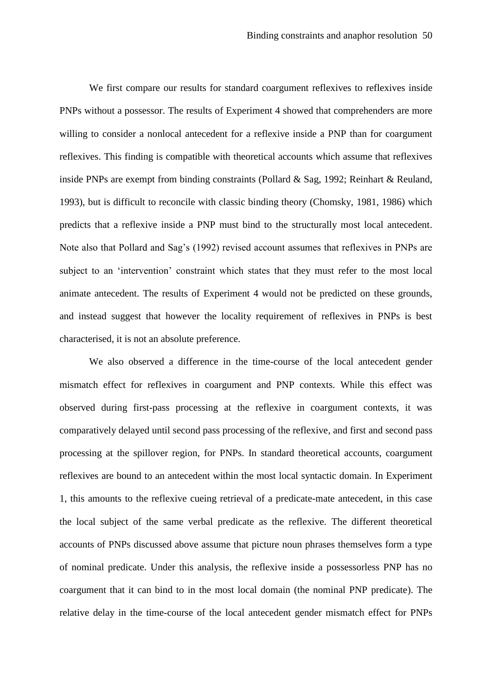We first compare our results for standard coargument reflexives to reflexives inside PNPs without a possessor. The results of Experiment 4 showed that comprehenders are more willing to consider a nonlocal antecedent for a reflexive inside a PNP than for coargument reflexives. This finding is compatible with theoretical accounts which assume that reflexives inside PNPs are exempt from binding constraints (Pollard & Sag, 1992; Reinhart & Reuland, 1993), but is difficult to reconcile with classic binding theory (Chomsky, 1981, 1986) which predicts that a reflexive inside a PNP must bind to the structurally most local antecedent. Note also that Pollard and Sag's (1992) revised account assumes that reflexives in PNPs are subject to an 'intervention' constraint which states that they must refer to the most local animate antecedent. The results of Experiment 4 would not be predicted on these grounds, and instead suggest that however the locality requirement of reflexives in PNPs is best characterised, it is not an absolute preference.

We also observed a difference in the time-course of the local antecedent gender mismatch effect for reflexives in coargument and PNP contexts. While this effect was observed during first-pass processing at the reflexive in coargument contexts, it was comparatively delayed until second pass processing of the reflexive, and first and second pass processing at the spillover region, for PNPs. In standard theoretical accounts, coargument reflexives are bound to an antecedent within the most local syntactic domain. In Experiment 1, this amounts to the reflexive cueing retrieval of a predicate-mate antecedent, in this case the local subject of the same verbal predicate as the reflexive. The different theoretical accounts of PNPs discussed above assume that picture noun phrases themselves form a type of nominal predicate. Under this analysis, the reflexive inside a possessorless PNP has no coargument that it can bind to in the most local domain (the nominal PNP predicate). The relative delay in the time-course of the local antecedent gender mismatch effect for PNPs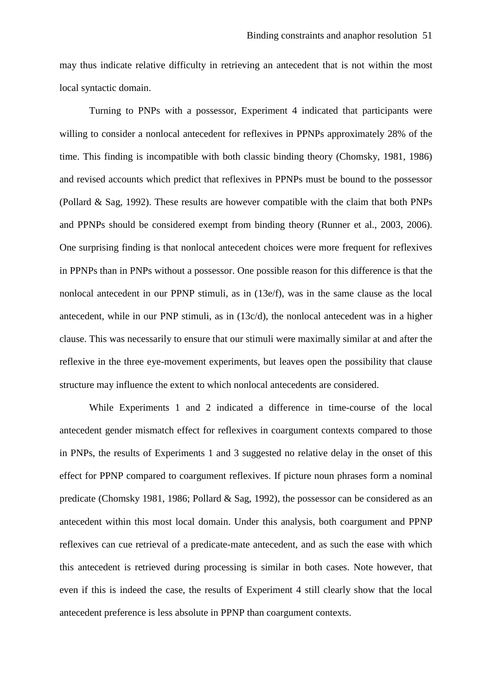may thus indicate relative difficulty in retrieving an antecedent that is not within the most local syntactic domain.

Turning to PNPs with a possessor, Experiment 4 indicated that participants were willing to consider a nonlocal antecedent for reflexives in PPNPs approximately 28% of the time. This finding is incompatible with both classic binding theory (Chomsky, 1981, 1986) and revised accounts which predict that reflexives in PPNPs must be bound to the possessor (Pollard & Sag, 1992). These results are however compatible with the claim that both PNPs and PPNPs should be considered exempt from binding theory (Runner et al., 2003, 2006). One surprising finding is that nonlocal antecedent choices were more frequent for reflexives in PPNPs than in PNPs without a possessor. One possible reason for this difference is that the nonlocal antecedent in our PPNP stimuli, as in (13e/f), was in the same clause as the local antecedent, while in our PNP stimuli, as in (13c/d), the nonlocal antecedent was in a higher clause. This was necessarily to ensure that our stimuli were maximally similar at and after the reflexive in the three eye-movement experiments, but leaves open the possibility that clause structure may influence the extent to which nonlocal antecedents are considered.

While Experiments 1 and 2 indicated a difference in time-course of the local antecedent gender mismatch effect for reflexives in coargument contexts compared to those in PNPs, the results of Experiments 1 and 3 suggested no relative delay in the onset of this effect for PPNP compared to coargument reflexives. If picture noun phrases form a nominal predicate (Chomsky 1981, 1986; Pollard & Sag, 1992), the possessor can be considered as an antecedent within this most local domain. Under this analysis, both coargument and PPNP reflexives can cue retrieval of a predicate-mate antecedent, and as such the ease with which this antecedent is retrieved during processing is similar in both cases. Note however, that even if this is indeed the case, the results of Experiment 4 still clearly show that the local antecedent preference is less absolute in PPNP than coargument contexts.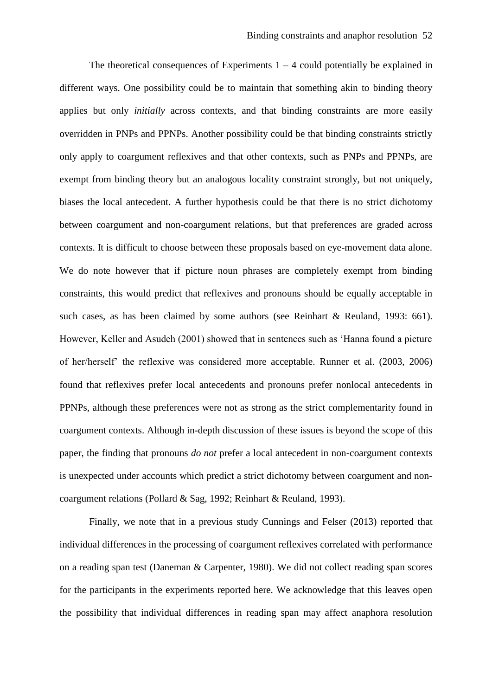The theoretical consequences of Experiments  $1 - 4$  could potentially be explained in different ways. One possibility could be to maintain that something akin to binding theory applies but only *initially* across contexts, and that binding constraints are more easily overridden in PNPs and PPNPs. Another possibility could be that binding constraints strictly only apply to coargument reflexives and that other contexts, such as PNPs and PPNPs, are exempt from binding theory but an analogous locality constraint strongly, but not uniquely, biases the local antecedent. A further hypothesis could be that there is no strict dichotomy between coargument and non-coargument relations, but that preferences are graded across contexts. It is difficult to choose between these proposals based on eye-movement data alone. We do note however that if picture noun phrases are completely exempt from binding constraints, this would predict that reflexives and pronouns should be equally acceptable in such cases, as has been claimed by some authors (see Reinhart & Reuland, 1993: 661). However, Keller and Asudeh (2001) showed that in sentences such as 'Hanna found a picture of her/herself' the reflexive was considered more acceptable. Runner et al. (2003, 2006) found that reflexives prefer local antecedents and pronouns prefer nonlocal antecedents in PPNPs, although these preferences were not as strong as the strict complementarity found in coargument contexts. Although in-depth discussion of these issues is beyond the scope of this paper, the finding that pronouns *do not* prefer a local antecedent in non-coargument contexts is unexpected under accounts which predict a strict dichotomy between coargument and noncoargument relations (Pollard & Sag, 1992; Reinhart & Reuland, 1993).

Finally, we note that in a previous study Cunnings and Felser (2013) reported that individual differences in the processing of coargument reflexives correlated with performance on a reading span test (Daneman & Carpenter, 1980). We did not collect reading span scores for the participants in the experiments reported here. We acknowledge that this leaves open the possibility that individual differences in reading span may affect anaphora resolution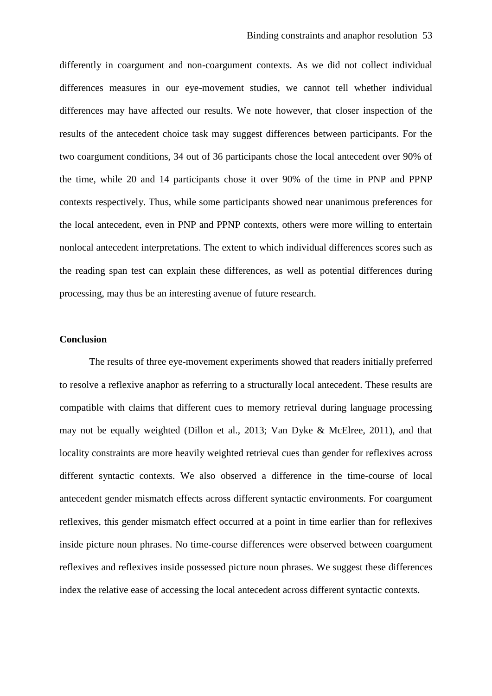differently in coargument and non-coargument contexts. As we did not collect individual differences measures in our eye-movement studies, we cannot tell whether individual differences may have affected our results. We note however, that closer inspection of the results of the antecedent choice task may suggest differences between participants. For the two coargument conditions, 34 out of 36 participants chose the local antecedent over 90% of the time, while 20 and 14 participants chose it over 90% of the time in PNP and PPNP contexts respectively. Thus, while some participants showed near unanimous preferences for the local antecedent, even in PNP and PPNP contexts, others were more willing to entertain nonlocal antecedent interpretations. The extent to which individual differences scores such as the reading span test can explain these differences, as well as potential differences during processing, may thus be an interesting avenue of future research.

## **Conclusion**

The results of three eye-movement experiments showed that readers initially preferred to resolve a reflexive anaphor as referring to a structurally local antecedent. These results are compatible with claims that different cues to memory retrieval during language processing may not be equally weighted (Dillon et al., 2013; Van Dyke & McElree, 2011), and that locality constraints are more heavily weighted retrieval cues than gender for reflexives across different syntactic contexts. We also observed a difference in the time-course of local antecedent gender mismatch effects across different syntactic environments. For coargument reflexives, this gender mismatch effect occurred at a point in time earlier than for reflexives inside picture noun phrases. No time-course differences were observed between coargument reflexives and reflexives inside possessed picture noun phrases. We suggest these differences index the relative ease of accessing the local antecedent across different syntactic contexts.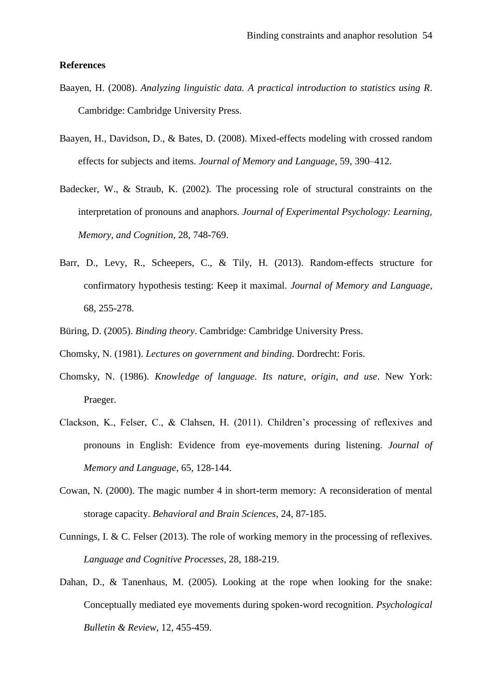## **References**

- Baayen, H. (2008). *Analyzing linguistic data. A practical introduction to statistics using R*. Cambridge: Cambridge University Press.
- Baayen, H., Davidson, D., & Bates, D. (2008). Mixed-effects modeling with crossed random effects for subjects and items. *Journal of Memory and Language*, 59, 390–412.
- Badecker, W., & Straub, K. (2002). The processing role of structural constraints on the interpretation of pronouns and anaphors. *Journal of Experimental Psychology: Learning, Memory, and Cognition*, 28, 748-769.
- Barr, D., Levy, R., Scheepers, C., & Tily, H. (2013). Random-effects structure for confirmatory hypothesis testing: Keep it maximal. *Journal of Memory and Language*, 68, 255-278.
- Büring, D. (2005). *Binding theory*. Cambridge: Cambridge University Press.
- Chomsky, N. (1981). *Lectures on government and binding.* Dordrecht: Foris.
- Chomsky, N. (1986). *Knowledge of language. Its nature, origin, and use*. New York: Praeger.
- Clackson, K., Felser, C., & Clahsen, H. (2011). Children's processing of reflexives and pronouns in English: Evidence from eye-movements during listening. *Journal of Memory and Language*, 65, 128-144.
- Cowan, N. (2000). The magic number 4 in short-term memory: A reconsideration of mental storage capacity. *Behavioral and Brain Sciences*, 24, 87-185.
- Cunnings, I. & C. Felser (2013). The role of working memory in the processing of reflexives. *Language and Cognitive Processes*, 28, 188-219.
- Dahan, D., & Tanenhaus, M. (2005). Looking at the rope when looking for the snake: Conceptually mediated eye movements during spoken-word recognition. *Psychological Bulletin & Review*, 12, 455-459.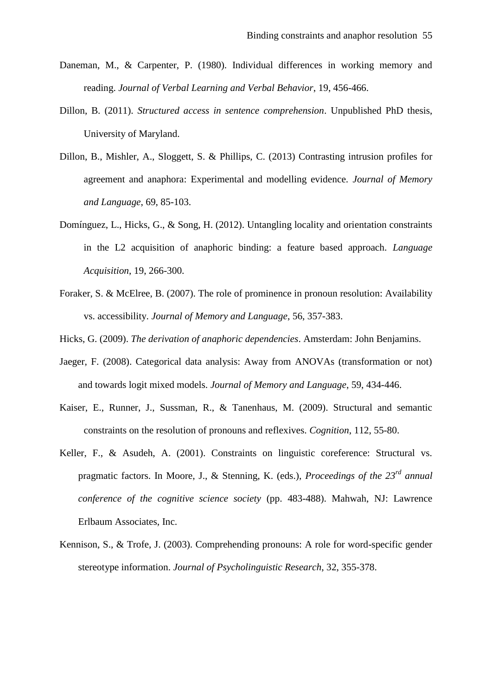- Daneman, M., & Carpenter, P. (1980). Individual differences in working memory and reading. *Journal of Verbal Learning and Verbal Behavior*, 19, 456-466.
- Dillon, B. (2011). *Structured access in sentence comprehension*. Unpublished PhD thesis, University of Maryland.
- Dillon, B., Mishler, A., Sloggett, S. & Phillips, C. (2013) Contrasting intrusion profiles for agreement and anaphora: Experimental and modelling evidence. *Journal of Memory and Language*, 69, 85-103.
- Domínguez, L., Hicks, G., & Song, H. (2012). Untangling locality and orientation constraints in the L2 acquisition of anaphoric binding: a feature based approach. *Language Acquisition*, 19, 266-300.
- Foraker, S. & McElree, B. (2007). The role of prominence in pronoun resolution: Availability vs. accessibility. *Journal of Memory and Language*, 56, 357-383.
- Hicks, G. (2009). *The derivation of anaphoric dependencies*. Amsterdam: John Benjamins.
- Jaeger, F. (2008). Categorical data analysis: Away from ANOVAs (transformation or not) and towards logit mixed models. *Journal of Memory and Language*, 59, 434-446.
- Kaiser, E., Runner, J., Sussman, R., & Tanenhaus, M. (2009). Structural and semantic constraints on the resolution of pronouns and reflexives. *Cognition*, 112, 55-80.
- Keller, F., & Asudeh, A. (2001). Constraints on linguistic coreference: Structural vs. pragmatic factors. In Moore, J., & Stenning, K. (eds.), *Proceedings of the 23rd annual conference of the cognitive science society* (pp. 483-488). Mahwah, NJ: Lawrence Erlbaum Associates, Inc.
- Kennison, S., & Trofe, J. (2003). Comprehending pronouns: A role for word-specific gender stereotype information. *Journal of Psycholinguistic Research*, 32, 355-378.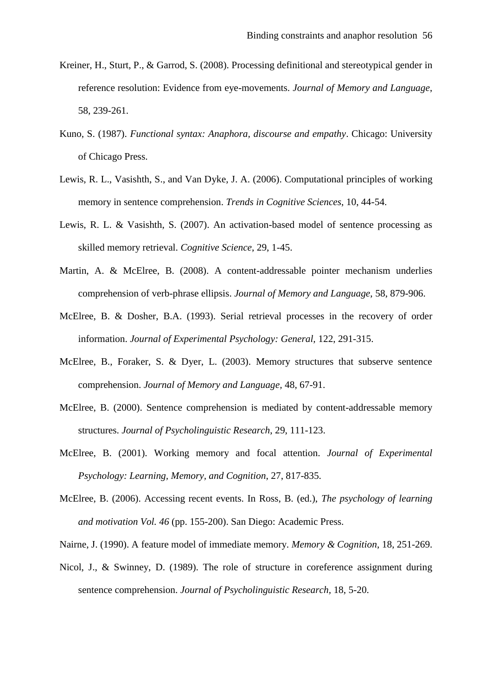- Kreiner, H., Sturt, P., & Garrod, S. (2008). Processing definitional and stereotypical gender in reference resolution: Evidence from eye-movements. *Journal of Memory and Language*, 58, 239-261.
- Kuno, S. (1987). *Functional syntax: Anaphora, discourse and empathy*. Chicago: University of Chicago Press.
- Lewis, R. L., Vasishth, S., and Van Dyke, J. A. (2006). Computational principles of working memory in sentence comprehension. *Trends in Cognitive Sciences*, 10, 44-54.
- Lewis, R. L. & Vasishth, S. (2007). An activation-based model of sentence processing as skilled memory retrieval. *Cognitive Science*, 29, 1-45.
- Martin, A. & McElree, B. (2008). A content-addressable pointer mechanism underlies comprehension of verb-phrase ellipsis. *Journal of Memory and Language*, 58, 879-906.
- McElree, B. & Dosher, B.A. (1993). Serial retrieval processes in the recovery of order information. *Journal of Experimental Psychology: General,* 122, 291-315.
- McElree, B., Foraker, S. & Dyer, L. (2003). Memory structures that subserve sentence comprehension. *Journal of Memory and Language,* 48, 67-91.
- McElree, B. (2000). Sentence comprehension is mediated by content-addressable memory structures. *Journal of Psycholinguistic Research*, 29, 111-123.
- McElree, B. (2001). Working memory and focal attention. *Journal of Experimental Psychology: Learning, Memory, and Cognition*, 27, 817-835.
- McElree, B. (2006). Accessing recent events. In Ross, B. (ed.), *The psychology of learning and motivation Vol. 46* (pp. 155-200). San Diego: Academic Press.
- Nairne, J. (1990). A feature model of immediate memory. *Memory & Cognition*, 18, 251-269.
- Nicol, J., & Swinney, D. (1989). The role of structure in coreference assignment during sentence comprehension. *Journal of Psycholinguistic Research,* 18, 5-20.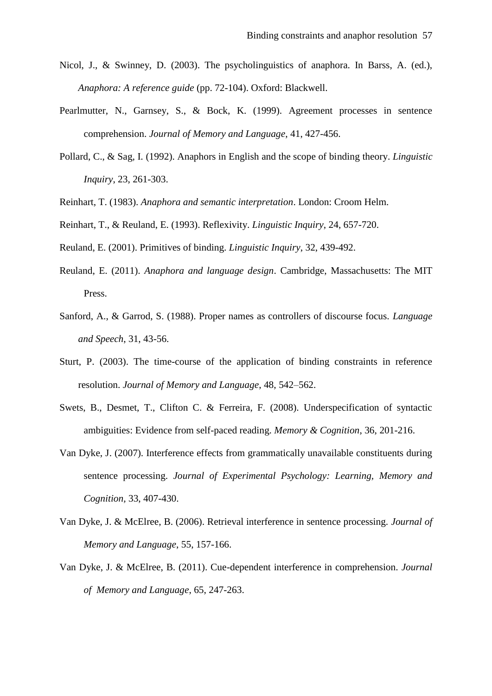- Nicol, J., & Swinney, D. (2003). The psycholinguistics of anaphora. In Barss, A. (ed.), *Anaphora: A reference guide* (pp. 72-104). Oxford: Blackwell.
- Pearlmutter, N., Garnsey, S., & Bock, K. (1999). Agreement processes in sentence comprehension. *Journal of Memory and Language*, 41, 427-456.
- Pollard, C., & Sag, I. (1992). Anaphors in English and the scope of binding theory. *Linguistic Inquiry*, 23, 261-303.
- Reinhart, T. (1983). *Anaphora and semantic interpretation*. London: Croom Helm.
- Reinhart, T., & Reuland, E. (1993). Reflexivity. *Linguistic Inquiry*, 24, 657-720.
- Reuland, E. (2001). Primitives of binding. *Linguistic Inquiry*, 32, 439-492.
- Reuland, E. (2011). *Anaphora and language design*. Cambridge, Massachusetts: The MIT Press.
- Sanford, A., & Garrod, S. (1988). Proper names as controllers of discourse focus. *Language and Speech*, 31, 43-56.
- Sturt, P. (2003). The time-course of the application of binding constraints in reference resolution. *Journal of Memory and Language*, 48, 542–562.
- Swets, B., Desmet, T., Clifton C. & Ferreira, F. (2008). Underspecification of syntactic ambiguities: Evidence from self-paced reading. *Memory & Cognition*, 36, 201-216.
- Van Dyke, J. (2007). Interference effects from grammatically unavailable constituents during sentence processing. *Journal of Experimental Psychology: Learning, Memory and Cognition,* 33, 407-430.
- Van Dyke, J. & McElree, B. (2006). Retrieval interference in sentence processing. *Journal of Memory and Language*, 55, 157-166.
- Van Dyke, J. & McElree, B. (2011). Cue-dependent interference in comprehension. *Journal of Memory and Language*, 65, 247-263.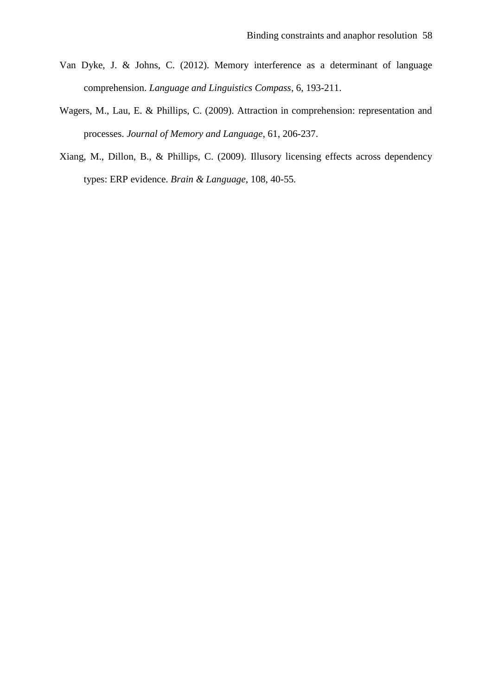- Van Dyke, J. & Johns, C. (2012). Memory interference as a determinant of language comprehension. *Language and Linguistics Compass*, 6, 193-211.
- Wagers, M., Lau, E. & Phillips, C. (2009). Attraction in comprehension: representation and processes. *Journal of Memory and Language*, 61, 206-237.
- Xiang, M., Dillon, B., & Phillips, C. (2009). Illusory licensing effects across dependency types: ERP evidence. *Brain & Language*, 108, 40-55*.*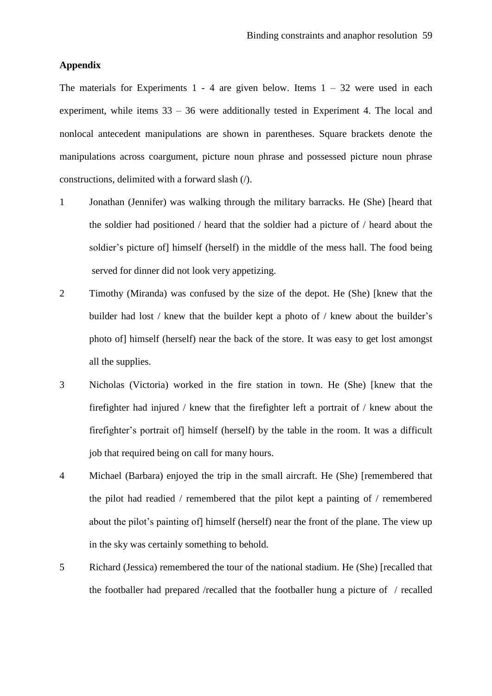# **Appendix**

The materials for Experiments 1 - 4 are given below. Items  $1 - 32$  were used in each experiment, while items 33 – 36 were additionally tested in Experiment 4. The local and nonlocal antecedent manipulations are shown in parentheses. Square brackets denote the manipulations across coargument, picture noun phrase and possessed picture noun phrase constructions, delimited with a forward slash (/).

- 1 Jonathan (Jennifer) was walking through the military barracks. He (She) [heard that the soldier had positioned / heard that the soldier had a picture of / heard about the soldier's picture of] himself (herself) in the middle of the mess hall. The food being served for dinner did not look very appetizing.
- 2 Timothy (Miranda) was confused by the size of the depot. He (She) [knew that the builder had lost / knew that the builder kept a photo of / knew about the builder's photo of] himself (herself) near the back of the store. It was easy to get lost amongst all the supplies.
- 3 Nicholas (Victoria) worked in the fire station in town. He (She) [knew that the firefighter had injured / knew that the firefighter left a portrait of / knew about the firefighter's portrait of] himself (herself) by the table in the room. It was a difficult job that required being on call for many hours.
- 4 Michael (Barbara) enjoyed the trip in the small aircraft. He (She) [remembered that the pilot had readied / remembered that the pilot kept a painting of / remembered about the pilot's painting of] himself (herself) near the front of the plane. The view up in the sky was certainly something to behold.
- 5 Richard (Jessica) remembered the tour of the national stadium. He (She) [recalled that the footballer had prepared /recalled that the footballer hung a picture of / recalled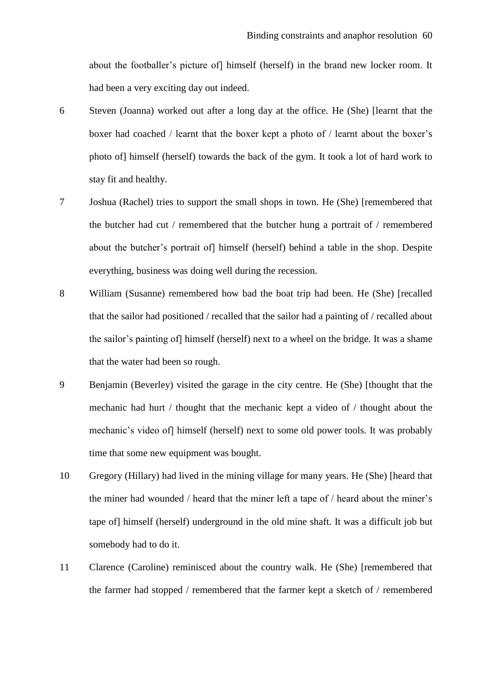about the footballer's picture of] himself (herself) in the brand new locker room. It had been a very exciting day out indeed.

- 6 Steven (Joanna) worked out after a long day at the office. He (She) [learnt that the boxer had coached / learnt that the boxer kept a photo of / learnt about the boxer's photo of] himself (herself) towards the back of the gym. It took a lot of hard work to stay fit and healthy.
- 7 Joshua (Rachel) tries to support the small shops in town. He (She) [remembered that the butcher had cut / remembered that the butcher hung a portrait of / remembered about the butcher's portrait of himself (herself) behind a table in the shop. Despite everything, business was doing well during the recession.
- 8 William (Susanne) remembered how bad the boat trip had been. He (She) [recalled that the sailor had positioned / recalled that the sailor had a painting of / recalled about the sailor's painting of] himself (herself) next to a wheel on the bridge. It was a shame that the water had been so rough.
- 9 Benjamin (Beverley) visited the garage in the city centre. He (She) [thought that the mechanic had hurt / thought that the mechanic kept a video of / thought about the mechanic's video of] himself (herself) next to some old power tools. It was probably time that some new equipment was bought.
- 10 Gregory (Hillary) had lived in the mining village for many years. He (She) [heard that the miner had wounded / heard that the miner left a tape of / heard about the miner's tape of] himself (herself) underground in the old mine shaft. It was a difficult job but somebody had to do it.
- 11 Clarence (Caroline) reminisced about the country walk. He (She) [remembered that the farmer had stopped / remembered that the farmer kept a sketch of / remembered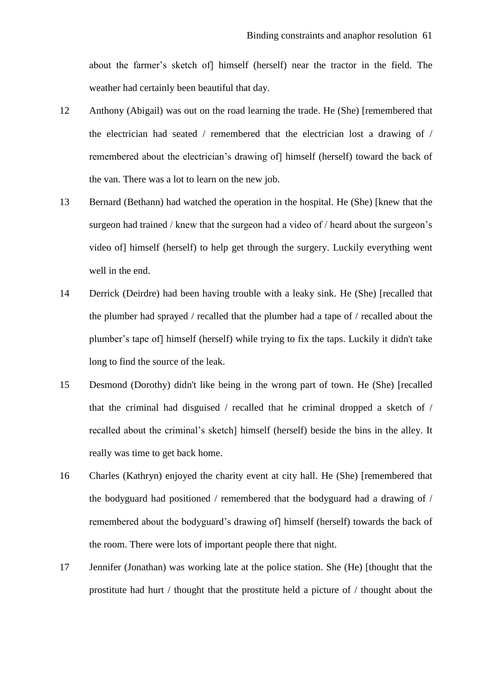about the farmer's sketch of] himself (herself) near the tractor in the field. The weather had certainly been beautiful that day.

- 12 Anthony (Abigail) was out on the road learning the trade. He (She) [remembered that the electrician had seated / remembered that the electrician lost a drawing of / remembered about the electrician's drawing of] himself (herself) toward the back of the van. There was a lot to learn on the new job.
- 13 Bernard (Bethann) had watched the operation in the hospital. He (She) [knew that the surgeon had trained / knew that the surgeon had a video of / heard about the surgeon's video of] himself (herself) to help get through the surgery. Luckily everything went well in the end.
- 14 Derrick (Deirdre) had been having trouble with a leaky sink. He (She) [recalled that the plumber had sprayed / recalled that the plumber had a tape of / recalled about the plumber's tape of] himself (herself) while trying to fix the taps. Luckily it didn't take long to find the source of the leak.
- 15 Desmond (Dorothy) didn't like being in the wrong part of town. He (She) [recalled that the criminal had disguised / recalled that he criminal dropped a sketch of / recalled about the criminal's sketch] himself (herself) beside the bins in the alley. It really was time to get back home.
- 16 Charles (Kathryn) enjoyed the charity event at city hall. He (She) [remembered that the bodyguard had positioned / remembered that the bodyguard had a drawing of / remembered about the bodyguard's drawing of] himself (herself) towards the back of the room. There were lots of important people there that night.
- 17 Jennifer (Jonathan) was working late at the police station. She (He) [thought that the prostitute had hurt / thought that the prostitute held a picture of / thought about the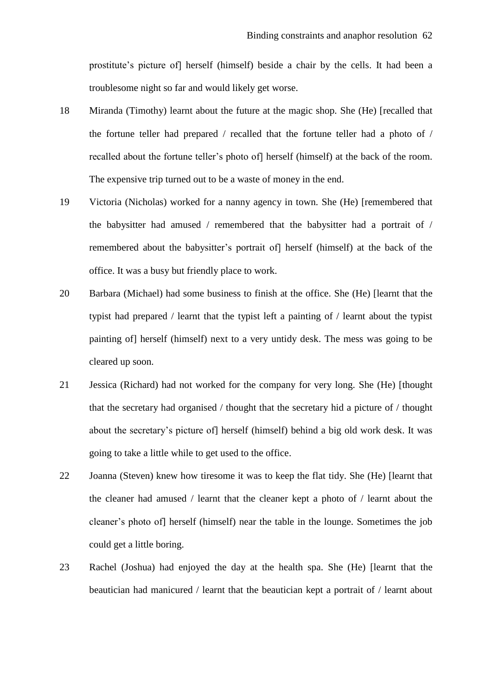prostitute's picture of] herself (himself) beside a chair by the cells. It had been a troublesome night so far and would likely get worse.

- 18 Miranda (Timothy) learnt about the future at the magic shop. She (He) [recalled that the fortune teller had prepared / recalled that the fortune teller had a photo of / recalled about the fortune teller's photo of] herself (himself) at the back of the room. The expensive trip turned out to be a waste of money in the end.
- 19 Victoria (Nicholas) worked for a nanny agency in town. She (He) [remembered that the babysitter had amused / remembered that the babysitter had a portrait of / remembered about the babysitter's portrait of] herself (himself) at the back of the office. It was a busy but friendly place to work.
- 20 Barbara (Michael) had some business to finish at the office. She (He) [learnt that the typist had prepared / learnt that the typist left a painting of / learnt about the typist painting of] herself (himself) next to a very untidy desk. The mess was going to be cleared up soon.
- 21 Jessica (Richard) had not worked for the company for very long. She (He) [thought that the secretary had organised / thought that the secretary hid a picture of / thought about the secretary's picture of] herself (himself) behind a big old work desk. It was going to take a little while to get used to the office.
- 22 Joanna (Steven) knew how tiresome it was to keep the flat tidy. She (He) [learnt that the cleaner had amused / learnt that the cleaner kept a photo of / learnt about the cleaner's photo of] herself (himself) near the table in the lounge. Sometimes the job could get a little boring.
- 23 Rachel (Joshua) had enjoyed the day at the health spa. She (He) [learnt that the beautician had manicured / learnt that the beautician kept a portrait of / learnt about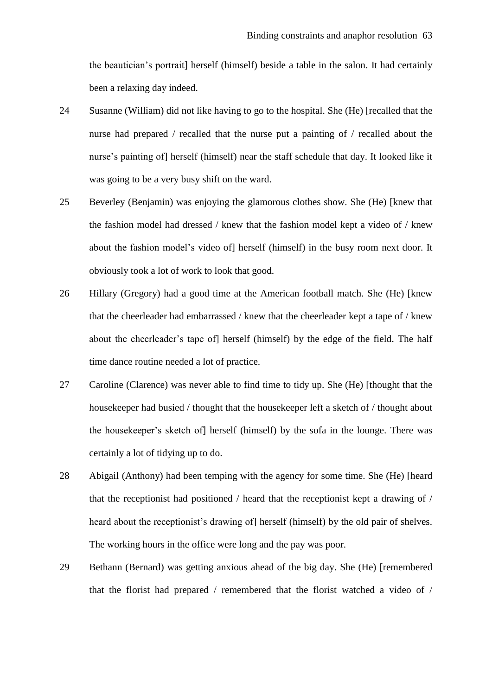the beautician's portrait] herself (himself) beside a table in the salon. It had certainly been a relaxing day indeed.

- 24 Susanne (William) did not like having to go to the hospital. She (He) [recalled that the nurse had prepared / recalled that the nurse put a painting of / recalled about the nurse's painting of] herself (himself) near the staff schedule that day. It looked like it was going to be a very busy shift on the ward.
- 25 Beverley (Benjamin) was enjoying the glamorous clothes show. She (He) [knew that the fashion model had dressed / knew that the fashion model kept a video of / knew about the fashion model's video of] herself (himself) in the busy room next door. It obviously took a lot of work to look that good.
- 26 Hillary (Gregory) had a good time at the American football match. She (He) [knew that the cheerleader had embarrassed / knew that the cheerleader kept a tape of / knew about the cheerleader's tape of] herself (himself) by the edge of the field. The half time dance routine needed a lot of practice.
- 27 Caroline (Clarence) was never able to find time to tidy up. She (He) [thought that the housekeeper had busied / thought that the housekeeper left a sketch of / thought about the housekeeper's sketch of] herself (himself) by the sofa in the lounge. There was certainly a lot of tidying up to do.
- 28 Abigail (Anthony) had been temping with the agency for some time. She (He) [heard that the receptionist had positioned / heard that the receptionist kept a drawing of / heard about the receptionist's drawing of herself (himself) by the old pair of shelves. The working hours in the office were long and the pay was poor.
- 29 Bethann (Bernard) was getting anxious ahead of the big day. She (He) [remembered that the florist had prepared / remembered that the florist watched a video of /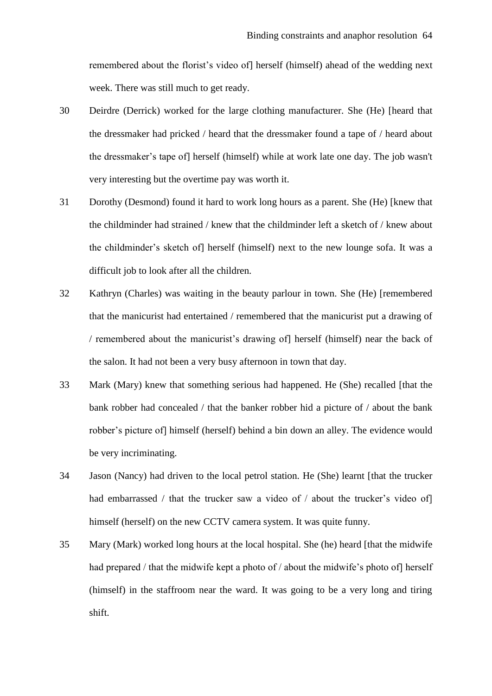remembered about the florist's video of] herself (himself) ahead of the wedding next week. There was still much to get ready.

- 30 Deirdre (Derrick) worked for the large clothing manufacturer. She (He) [heard that the dressmaker had pricked / heard that the dressmaker found a tape of / heard about the dressmaker's tape of] herself (himself) while at work late one day. The job wasn't very interesting but the overtime pay was worth it.
- 31 Dorothy (Desmond) found it hard to work long hours as a parent. She (He) [knew that the childminder had strained / knew that the childminder left a sketch of / knew about the childminder's sketch of] herself (himself) next to the new lounge sofa. It was a difficult job to look after all the children.
- 32 Kathryn (Charles) was waiting in the beauty parlour in town. She (He) [remembered that the manicurist had entertained / remembered that the manicurist put a drawing of / remembered about the manicurist's drawing of] herself (himself) near the back of the salon. It had not been a very busy afternoon in town that day.
- 33 Mark (Mary) knew that something serious had happened. He (She) recalled [that the bank robber had concealed / that the banker robber hid a picture of / about the bank robber's picture of] himself (herself) behind a bin down an alley. The evidence would be very incriminating.
- 34 Jason (Nancy) had driven to the local petrol station. He (She) learnt [that the trucker had embarrassed / that the trucker saw a video of / about the trucker's video of] himself (herself) on the new CCTV camera system. It was quite funny.
- 35 Mary (Mark) worked long hours at the local hospital. She (he) heard [that the midwife had prepared / that the midwife kept a photo of / about the midwife's photo of herself (himself) in the staffroom near the ward. It was going to be a very long and tiring shift.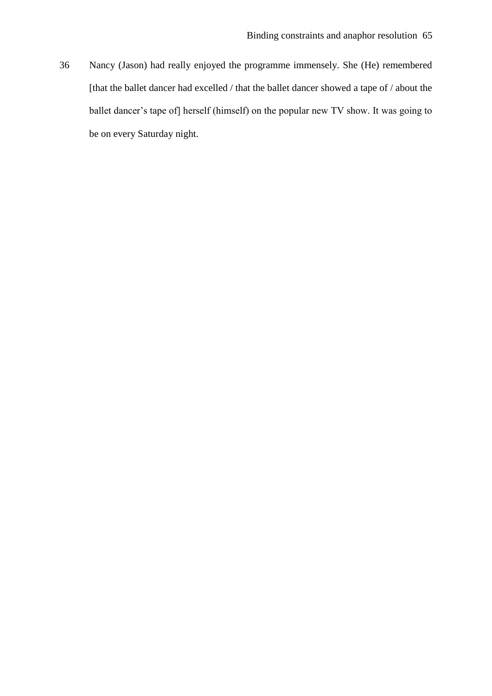36 Nancy (Jason) had really enjoyed the programme immensely. She (He) remembered [that the ballet dancer had excelled / that the ballet dancer showed a tape of / about the ballet dancer's tape of] herself (himself) on the popular new TV show. It was going to be on every Saturday night.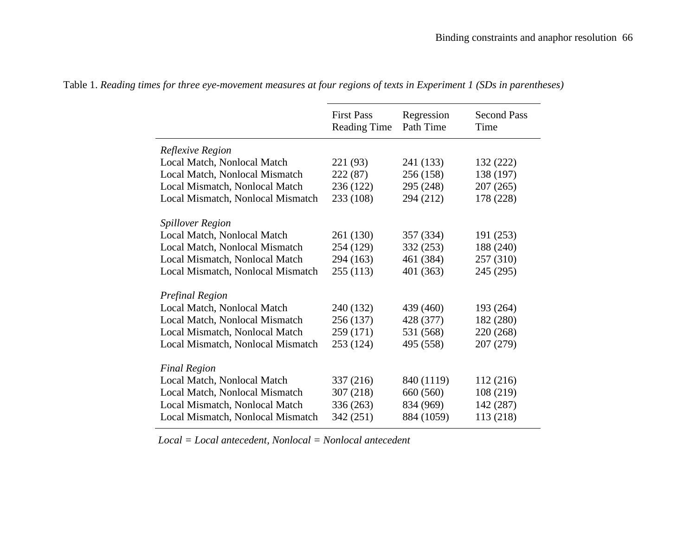| <b>First Pass</b><br><b>Reading Time</b> | Regression<br>Path Time | <b>Second Pass</b><br>Time |
|------------------------------------------|-------------------------|----------------------------|
|                                          |                         |                            |
| 221 (93)                                 | 241 (133)               | 132 (222)                  |
| 222 (87)                                 | 256 (158)               | 138 (197)                  |
| 236 (122)                                | 295 (248)               | 207 (265)                  |
| 233 (108)                                | 294 (212)               | 178 (228)                  |
|                                          |                         |                            |
| 261 (130)                                | 357 (334)               | 191 (253)                  |
| 254 (129)                                | 332 (253)               | 188 (240)                  |
| 294 (163)                                | 461 (384)               | 257 (310)                  |
| 255 (113)                                | 401 (363)               | 245 (295)                  |
|                                          |                         |                            |
|                                          |                         | 193 (264)                  |
| 256 (137)                                | 428 (377)               | 182 (280)                  |
| 259 (171)                                | 531 (568)               | 220 (268)                  |
| 253 (124)                                | 495 (558)               | 207 (279)                  |
|                                          |                         |                            |
| 337 (216)                                | 840 (1119)              | 112 (216)                  |
| 307 (218)                                | 660 (560)               | 108 (219)                  |
| 336 (263)                                | 834 (969)               | 142 (287)                  |
| 342 (251)                                | 884 (1059)              | 113 (218)                  |
|                                          | 240 (132)               | 439 (460)                  |

Table 1. *Reading times for three eye-movement measures at four regions of texts in Experiment 1 (SDs in parentheses)*

*Local = Local antecedent, Nonlocal = Nonlocal antecedent*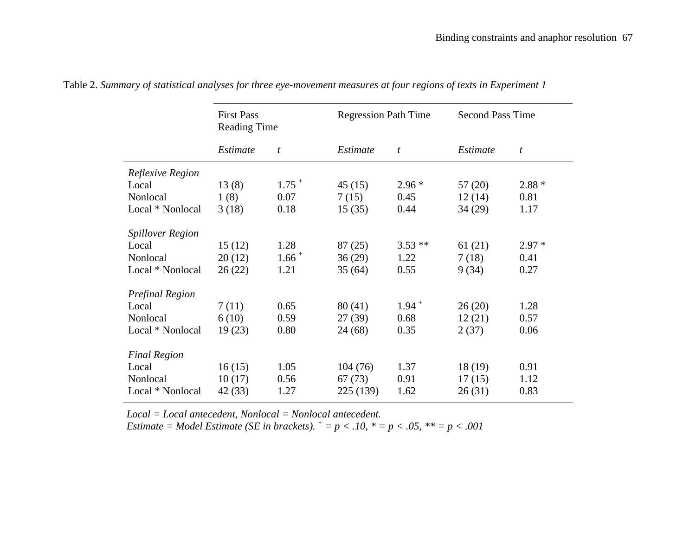|                         | <b>First Pass</b><br><b>Reading Time</b> |                     | <b>Regression Path Time</b> |          | <b>Second Pass Time</b> |                  |
|-------------------------|------------------------------------------|---------------------|-----------------------------|----------|-------------------------|------------------|
|                         | Estimate                                 | $\boldsymbol{t}$    | Estimate                    | t        | Estimate                | $\boldsymbol{t}$ |
| Reflexive Region        |                                          |                     |                             |          |                         |                  |
| Local                   | 13(8)                                    | $1.75$ <sup>+</sup> | 45(15)                      | $2.96*$  | 57(20)                  | $2.88*$          |
| Nonlocal                | 1(8)                                     | 0.07                | 7(15)                       | 0.45     | 12(14)                  | 0.81             |
| Local * Nonlocal        | 3(18)                                    | 0.18                | 15(35)                      | 0.44     | 34(29)                  | 1.17             |
| <b>Spillover Region</b> |                                          |                     |                             |          |                         |                  |
| Local                   | 15(12)                                   | 1.28                | 87(25)                      | $3.53**$ | 61(21)                  | $2.97*$          |
| Nonlocal                | 20(12)                                   | $1.66 +$            | 36(29)                      | 1.22     | 7(18)                   | 0.41             |
| Local * Nonlocal        | 26(22)                                   | 1.21                | 35(64)                      | 0.55     | 9(34)                   | 0.27             |
| <b>Prefinal Region</b>  |                                          |                     |                             |          |                         |                  |
| Local                   | 7(11)                                    | 0.65                | 80(41)                      | $1.94 +$ | 26(20)                  | 1.28             |
| Nonlocal                | 6(10)                                    | 0.59                | 27(39)                      | 0.68     | 12(21)                  | 0.57             |
| Local * Nonlocal        | 19(23)                                   | 0.80                | 24 (68)                     | 0.35     | 2(37)                   | 0.06             |
| <b>Final Region</b>     |                                          |                     |                             |          |                         |                  |
| Local                   | 16(15)                                   | 1.05                | 104(76)                     | 1.37     | 18 (19)                 | 0.91             |
| Nonlocal                | 10(17)                                   | 0.56                | 67(73)                      | 0.91     | 17(15)                  | 1.12             |
| Local * Nonlocal        | 42 (33)                                  | 1.27                | 225 (139)                   | 1.62     | 26(31)                  | 0.83             |

Table 2. *Summary of statistical analyses for three eye-movement measures at four regions of texts in Experiment 1*

*Local = Local antecedent, Nonlocal = Nonlocal antecedent.*

*Estimate = Model Estimate (SE in brackets).* <sup>+</sup> *= p < .10, \* = p < .05, \*\* = p < .001*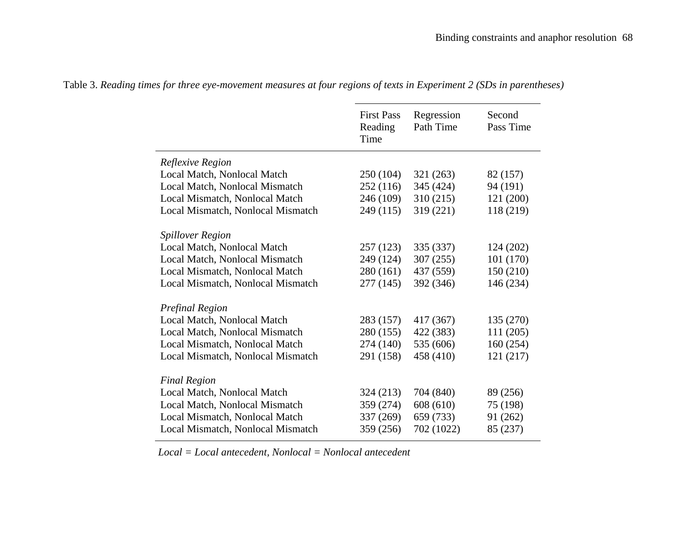|                                   | <b>First Pass</b><br>Reading<br>Time | Regression<br>Path Time | Second<br>Pass Time |
|-----------------------------------|--------------------------------------|-------------------------|---------------------|
| Reflexive Region                  |                                      |                         |                     |
| Local Match, Nonlocal Match       | 250 (104)                            | 321 (263)               | 82 (157)            |
| Local Match, Nonlocal Mismatch    | 252(116)                             | 345 (424)               | 94 (191)            |
| Local Mismatch, Nonlocal Match    | 246 (109)                            | 310 (215)               | 121 (200)           |
| Local Mismatch, Nonlocal Mismatch | 249 (115)                            | 319 (221)               | 118 (219)           |
| <b>Spillover Region</b>           |                                      |                         |                     |
| Local Match, Nonlocal Match       | 257 (123)                            | 335 (337)               | 124 (202)           |
| Local Match, Nonlocal Mismatch    | 249 (124)                            | 307(255)                | 101 (170)           |
| Local Mismatch, Nonlocal Match    | 280 (161)                            | 437 (559)               | 150 (210)           |
| Local Mismatch, Nonlocal Mismatch | 277 (145)                            | 392 (346)               | 146 (234)           |
| <b>Prefinal Region</b>            |                                      |                         |                     |
| Local Match, Nonlocal Match       | 283 (157)                            | 417 (367)               | 135 (270)           |
| Local Match, Nonlocal Mismatch    | 280 (155)                            | 422 (383)               | 111 (205)           |
| Local Mismatch, Nonlocal Match    | 274 (140)                            | 535 (606)               | 160(254)            |
| Local Mismatch, Nonlocal Mismatch | 291 (158)                            | 458 (410)               | 121 (217)           |
| <b>Final Region</b>               |                                      |                         |                     |
| Local Match, Nonlocal Match       | 324 (213)                            | 704 (840)               | 89 (256)            |
| Local Match, Nonlocal Mismatch    | 359 (274)                            | 608 (610)               | 75 (198)            |
| Local Mismatch, Nonlocal Match    | 337 (269)                            | 659 (733)               | 91 (262)            |
| Local Mismatch, Nonlocal Mismatch | 359 (256)                            | 702 (1022)              | 85 (237)            |

Table 3. *Reading times for three eye-movement measures at four regions of texts in Experiment 2 (SDs in parentheses)*

*Local = Local antecedent, Nonlocal = Nonlocal antecedent*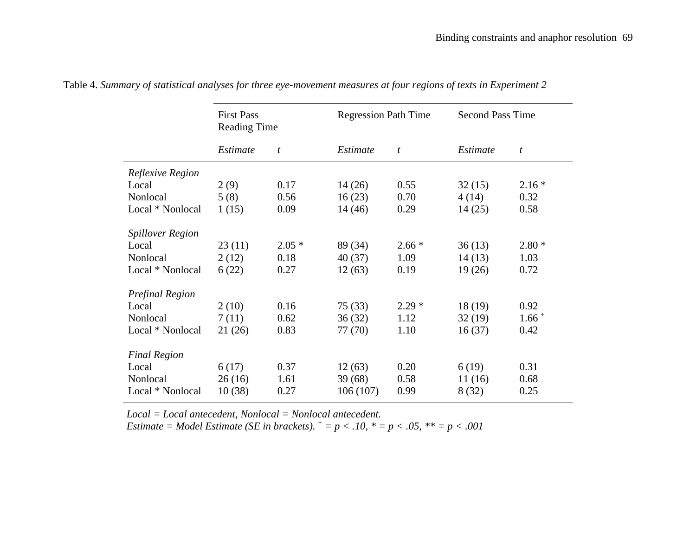|                         | <b>First Pass</b><br><b>Reading Time</b> |                  | <b>Regression Path Time</b> |         | <b>Second Pass Time</b> |                  |
|-------------------------|------------------------------------------|------------------|-----------------------------|---------|-------------------------|------------------|
|                         | Estimate                                 | $\boldsymbol{t}$ | Estimate                    | t       | Estimate                | $\boldsymbol{t}$ |
| Reflexive Region        |                                          |                  |                             |         |                         |                  |
| Local                   | 2(9)                                     | 0.17             | 14(26)                      | 0.55    | 32(15)                  | $2.16*$          |
| Nonlocal                | 5(8)                                     | 0.56             | 16(23)                      | 0.70    | 4(14)                   | 0.32             |
| Local * Nonlocal        | 1(15)                                    | 0.09             | 14(46)                      | 0.29    | 14(25)                  | 0.58             |
| <b>Spillover Region</b> |                                          |                  |                             |         |                         |                  |
| Local                   | 23(11)                                   | $2.05*$          | 89 (34)                     | $2.66*$ | 36(13)                  | $2.80*$          |
| Nonlocal                | 2(12)                                    | 0.18             | 40(37)                      | 1.09    | 14(13)                  | 1.03             |
| Local * Nonlocal        | 6(22)                                    | 0.27             | 12(63)                      | 0.19    | 19(26)                  | 0.72             |
| <b>Prefinal Region</b>  |                                          |                  |                             |         |                         |                  |
| Local                   | 2(10)                                    | 0.16             | 75(33)                      | $2.29*$ | 18(19)                  | 0.92             |
| Nonlocal                | 7(11)                                    | 0.62             | 36(32)                      | 1.12    | 32(19)                  | $1.66 +$         |
| Local * Nonlocal        | 21(26)                                   | 0.83             | 77 (70)                     | 1.10    | 16(37)                  | 0.42             |
| <b>Final Region</b>     |                                          |                  |                             |         |                         |                  |
| Local                   | 6(17)                                    | 0.37             | 12(63)                      | 0.20    | 6(19)                   | 0.31             |
| Nonlocal                | 26(16)                                   | 1.61             | 39(68)                      | 0.58    | 11(16)                  | 0.68             |
| Local * Nonlocal        | 10(38)                                   | 0.27             | 106(107)                    | 0.99    | 8 (32)                  | 0.25             |

Table 4. *Summary of statistical analyses for three eye-movement measures at four regions of texts in Experiment 2*

*Local = Local antecedent, Nonlocal = Nonlocal antecedent.*

*Estimate = Model Estimate (SE in brackets).* <sup>+</sup> *= p < .10, \* = p < .05, \*\* = p < .001*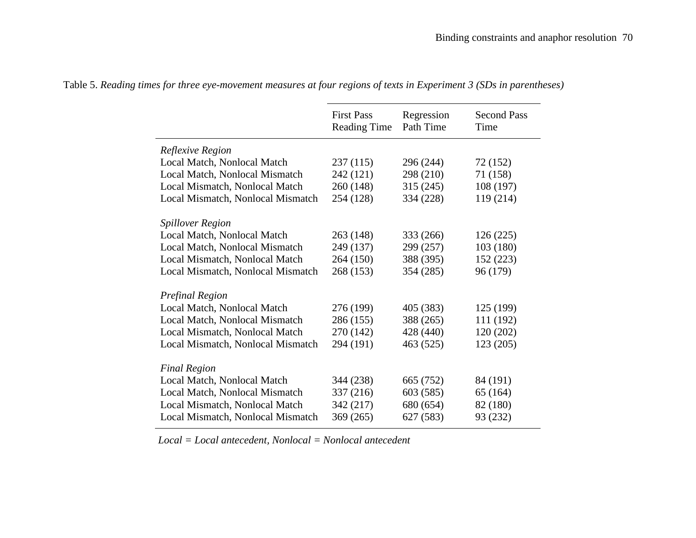| <b>First Pass</b><br><b>Reading Time</b> | Regression<br>Path Time                                                    | <b>Second Pass</b><br>Time                                                 |
|------------------------------------------|----------------------------------------------------------------------------|----------------------------------------------------------------------------|
|                                          |                                                                            |                                                                            |
| 237 (115)                                | 296 (244)                                                                  | 72 (152)                                                                   |
| 242 (121)                                | 298 (210)                                                                  | 71 (158)                                                                   |
| 260 (148)                                | 315 (245)                                                                  | 108 (197)                                                                  |
| 254 (128)                                | 334 (228)                                                                  | 119 (214)                                                                  |
|                                          |                                                                            |                                                                            |
|                                          |                                                                            | 126(225)                                                                   |
|                                          | 299 (257)                                                                  | 103 (180)                                                                  |
| 264 (150)                                | 388 (395)                                                                  | 152 (223)                                                                  |
| 268 (153)                                | 354 (285)                                                                  | 96 (179)                                                                   |
|                                          |                                                                            |                                                                            |
|                                          |                                                                            | 125 (199)                                                                  |
|                                          |                                                                            | 111 (192)                                                                  |
|                                          |                                                                            | 120 (202)                                                                  |
| 294 (191)                                | 463 (525)                                                                  | 123 (205)                                                                  |
|                                          |                                                                            |                                                                            |
|                                          |                                                                            | 84 (191)                                                                   |
| 337 (216)                                |                                                                            | 65 (164)                                                                   |
| 342 (217)                                | 680 (654)                                                                  | 82 (180)                                                                   |
| 369 (265)                                | 627 (583)                                                                  | 93 (232)                                                                   |
|                                          | 263 (148)<br>249 (137)<br>276 (199)<br>286 (155)<br>270 (142)<br>344 (238) | 333 (266)<br>405 (383)<br>388 (265)<br>428 (440)<br>665 (752)<br>603 (585) |

Table 5. *Reading times for three eye-movement measures at four regions of texts in Experiment 3 (SDs in parentheses)*

*Local = Local antecedent, Nonlocal = Nonlocal antecedent*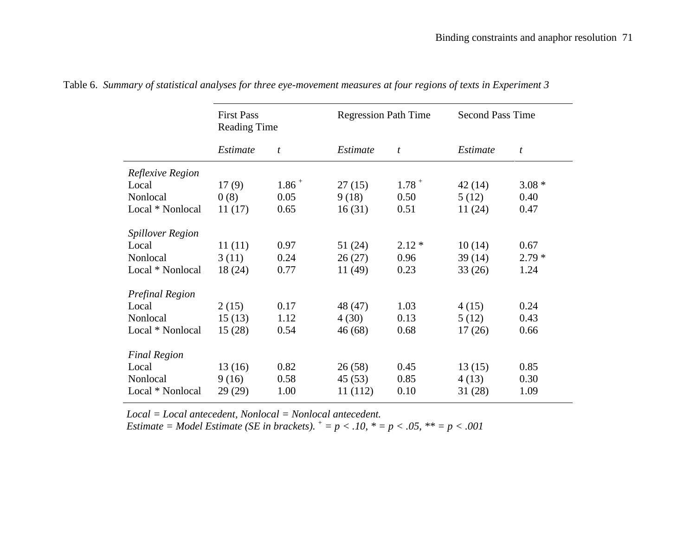|                         | <b>First Pass</b><br><b>Reading Time</b> |                  | <b>Regression Path Time</b> |          | <b>Second Pass Time</b> |                  |
|-------------------------|------------------------------------------|------------------|-----------------------------|----------|-------------------------|------------------|
|                         | Estimate                                 | $\boldsymbol{t}$ | Estimate                    | t        | Estimate                | $\boldsymbol{t}$ |
| Reflexive Region        |                                          |                  |                             |          |                         |                  |
| Local                   | 17(9)                                    | $1.86 +$         | 27(15)                      | $1.78 +$ | 42(14)                  | $3.08*$          |
| Nonlocal                | 0(8)                                     | 0.05             | 9(18)                       | 0.50     | 5(12)                   | 0.40             |
| Local * Nonlocal        | 11(17)                                   | 0.65             | 16(31)                      | 0.51     | 11(24)                  | 0.47             |
| <b>Spillover Region</b> |                                          |                  |                             |          |                         |                  |
| Local                   | 11(11)                                   | 0.97             | 51 (24)                     | $2.12*$  | 10(14)                  | 0.67             |
| Nonlocal                | 3(11)                                    | 0.24             | 26(27)                      | 0.96     | 39(14)                  | $2.79*$          |
| Local * Nonlocal        | 18(24)                                   | 0.77             | 11 (49)                     | 0.23     | 33(26)                  | 1.24             |
| <b>Prefinal Region</b>  |                                          |                  |                             |          |                         |                  |
| Local                   | 2(15)                                    | 0.17             | 48 (47)                     | 1.03     | 4(15)                   | 0.24             |
| Nonlocal                | 15(13)                                   | 1.12             | 4(30)                       | 0.13     | 5(12)                   | 0.43             |
| Local * Nonlocal        | 15(28)                                   | 0.54             | 46(68)                      | 0.68     | 17(26)                  | 0.66             |
| <b>Final Region</b>     |                                          |                  |                             |          |                         |                  |
| Local                   | 13(16)                                   | 0.82             | 26(58)                      | 0.45     | 13(15)                  | 0.85             |
| Nonlocal                | 9(16)                                    | 0.58             | 45(53)                      | 0.85     | 4(13)                   | 0.30             |
| Local * Nonlocal        | 29 (29)                                  | 1.00             | 11 (112)                    | 0.10     | 31(28)                  | 1.09             |

Table 6. *Summary of statistical analyses for three eye-movement measures at four regions of texts in Experiment 3*

*Local = Local antecedent, Nonlocal = Nonlocal antecedent.*

*Estimate = Model Estimate (SE in brackets).*  $^{+} = p < .10,$   $^{*} = p < .05,$   $^{**} = p < .001$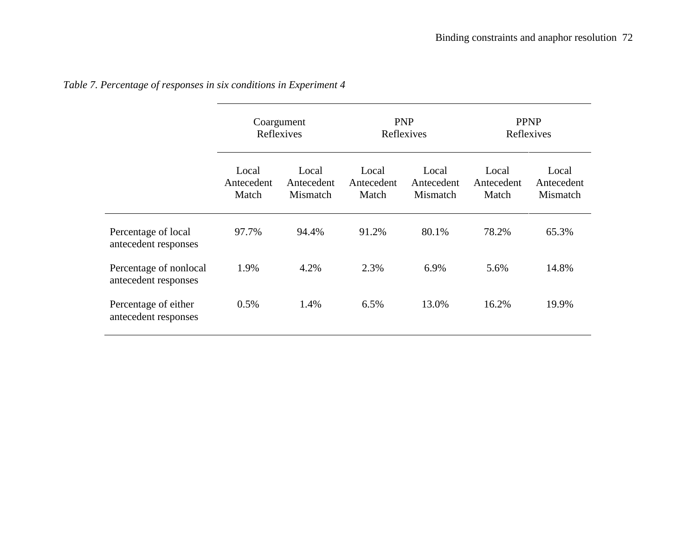|                                                | Coargument<br>Reflexives     |                                 | <b>PNP</b><br>Reflexives     |                                 | <b>PPNP</b><br>Reflexives    |                                 |
|------------------------------------------------|------------------------------|---------------------------------|------------------------------|---------------------------------|------------------------------|---------------------------------|
|                                                | Local<br>Antecedent<br>Match | Local<br>Antecedent<br>Mismatch | Local<br>Antecedent<br>Match | Local<br>Antecedent<br>Mismatch | Local<br>Antecedent<br>Match | Local<br>Antecedent<br>Mismatch |
| Percentage of local<br>antecedent responses    | 97.7%                        | 94.4%                           | 91.2%                        | 80.1%                           | 78.2%                        | 65.3%                           |
| Percentage of nonlocal<br>antecedent responses | 1.9%                         | 4.2%                            | 2.3%                         | 6.9%                            | 5.6%                         | 14.8%                           |
| Percentage of either<br>antecedent responses   | 0.5%                         | 1.4%                            | 6.5%                         | 13.0%                           | 16.2%                        | 19.9%                           |

*Table 7. Percentage of responses in six conditions in Experiment 4*